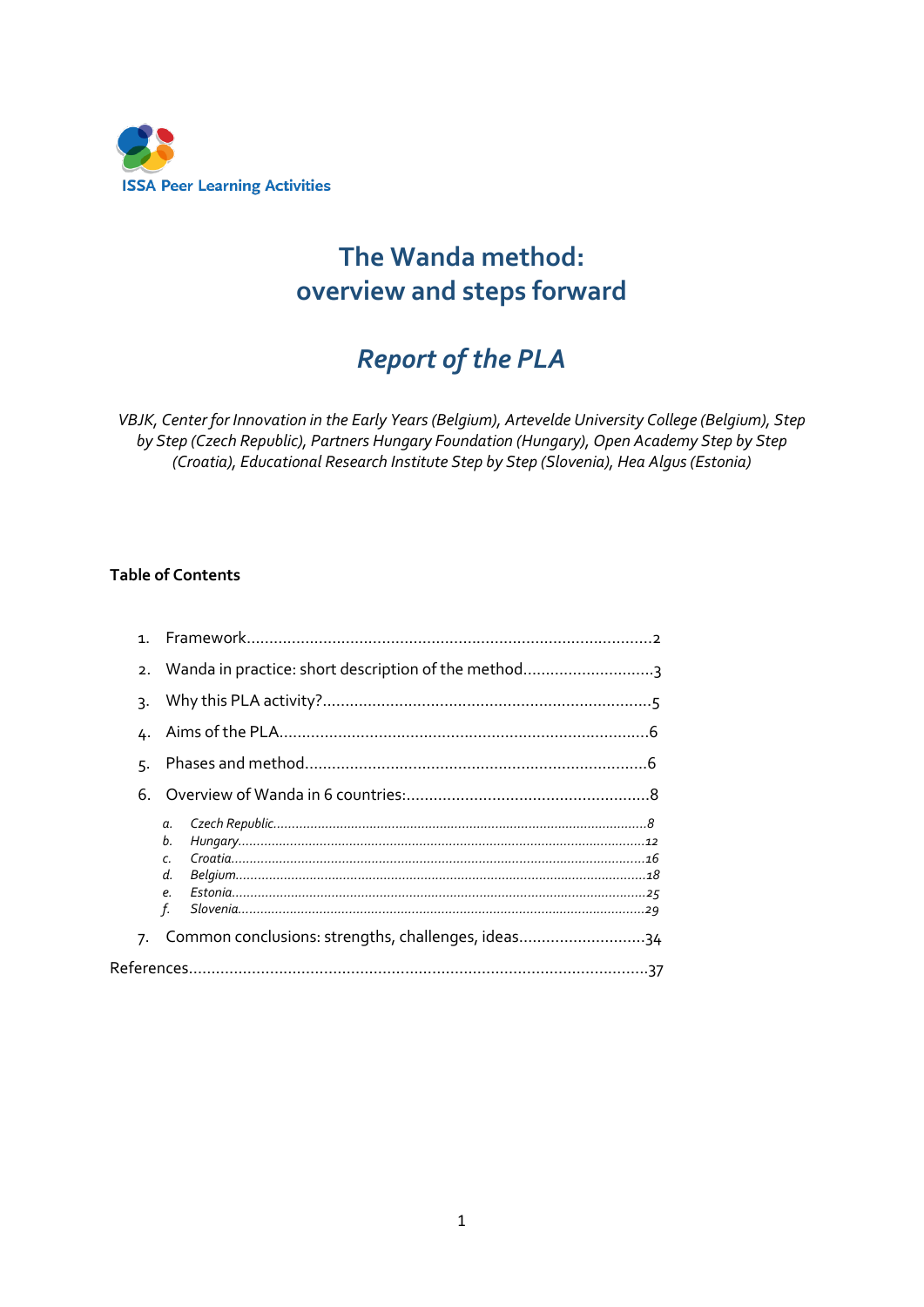

# **The Wanda method: overview and steps forward**

# *Report of the PLA*

*VBJK, Center for Innovation in the Early Years (Belgium), Artevelde University College (Belgium), Step by Step (Czech Republic), Partners Hungary Foundation (Hungary), Open Academy Step by Step (Croatia), Educational Research Institute Step by Step (Slovenia), Hea Algus (Estonia)*

#### **Table of Contents**

| 1 <sup>1</sup> |                                                       |  |
|----------------|-------------------------------------------------------|--|
|                | 2. Wanda in practice: short description of the method |  |
| 3٠             |                                                       |  |
|                |                                                       |  |
| 5.             |                                                       |  |
|                |                                                       |  |
|                | a.<br>b.<br>$\epsilon$<br>d.<br>$\rho$<br>f.          |  |
|                | 7. Common conclusions: strengths, challenges, ideas34 |  |
|                |                                                       |  |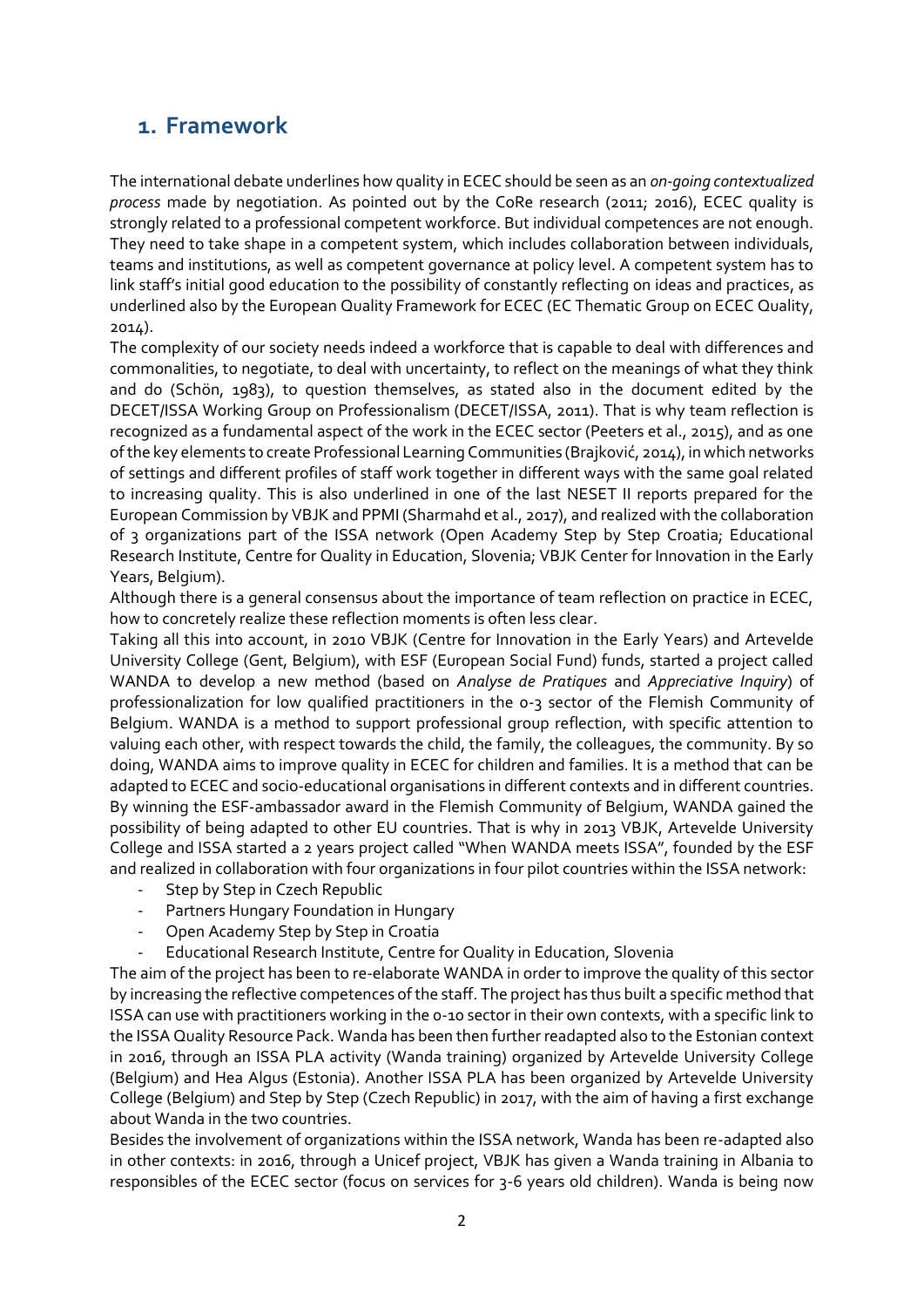## **1. Framework**

The international debate underlines how quality in ECEC should be seen as an *on-going contextualized process* made by negotiation. As pointed out by the CoRe research (2011; 2016), ECEC quality is strongly related to a professional competent workforce. But individual competences are not enough. They need to take shape in a competent system, which includes collaboration between individuals, teams and institutions, as well as competent governance at policy level. A competent system has to link staff's initial good education to the possibility of constantly reflecting on ideas and practices, as underlined also by the European Quality Framework for ECEC (EC Thematic Group on ECEC Quality, 2014).

The complexity of our society needs indeed a workforce that is capable to deal with differences and commonalities, to negotiate, to deal with uncertainty, to reflect on the meanings of what they think and do (Schön, 1983), to question themselves, as stated also in the document edited by the DECET/ISSA Working Group on Professionalism (DECET/ISSA, 2011). That is why team reflection is recognized as a fundamental aspect of the work in the ECEC sector (Peeters et al., 2015), and as one of the key elements to create Professional Learning Communities (Brajković, 2014), in which networks of settings and different profiles of staff work together in different ways with the same goal related to increasing quality. This is also underlined in one of the last NESET II reports prepared for the European Commission by VBJK and PPMI (Sharmahd et al., 2017), and realized with the collaboration of 3 organizations part of the ISSA network (Open Academy Step by Step Croatia; Educational Research Institute, Centre for Quality in Education, Slovenia; VBJK Center for Innovation in the Early Years, Belgium).

Although there is a general consensus about the importance of team reflection on practice in ECEC, how to concretely realize these reflection moments is often less clear.

Taking all this into account, in 2010 VBJK (Centre for Innovation in the Early Years) and Artevelde University College (Gent, Belgium), with ESF (European Social Fund) funds, started a project called WANDA to develop a new method (based on *Analyse de Pratiques* and *Appreciative Inquiry*) of professionalization for low qualified practitioners in the 0-3 sector of the Flemish Community of Belgium. WANDA is a method to support professional group reflection, with specific attention to valuing each other, with respect towards the child, the family, the colleagues, the community. By so doing, WANDA aims to improve quality in ECEC for children and families. It is a method that can be adapted to ECEC and socio-educational organisations in different contexts and in different countries. By winning the ESF-ambassador award in the Flemish Community of Belgium, WANDA gained the possibility of being adapted to other EU countries. That is why in 2013 VBJK, Artevelde University College and ISSA started a 2 years project called "When WANDA meets ISSA", founded by the ESF and realized in collaboration with four organizations in four pilot countries within the ISSA network:

- Step by Step in Czech Republic
- Partners Hungary Foundation in Hungary
- Open Academy Step by Step in Croatia
- Educational Research Institute, Centre for Quality in Education, Slovenia

The aim of the project has been to re-elaborate WANDA in order to improve the quality of this sector by increasing the reflective competences of the staff. The project has thus built a specific method that ISSA can use with practitioners working in the 0-10 sector in their own contexts, with a specific link to the ISSA Quality Resource Pack. Wanda has been then further readapted also to the Estonian context in 2016, through an ISSA PLA activity (Wanda training) organized by Artevelde University College (Belgium) and Hea Algus (Estonia). Another ISSA PLA has been organized by Artevelde University College (Belgium) and Step by Step (Czech Republic) in 2017, with the aim of having a first exchange about Wanda in the two countries.

Besides the involvement of organizations within the ISSA network, Wanda has been re-adapted also in other contexts: in 2016, through a Unicef project, VBJK has given a Wanda training in Albania to responsibles of the ECEC sector (focus on services for 3-6 years old children). Wanda is being now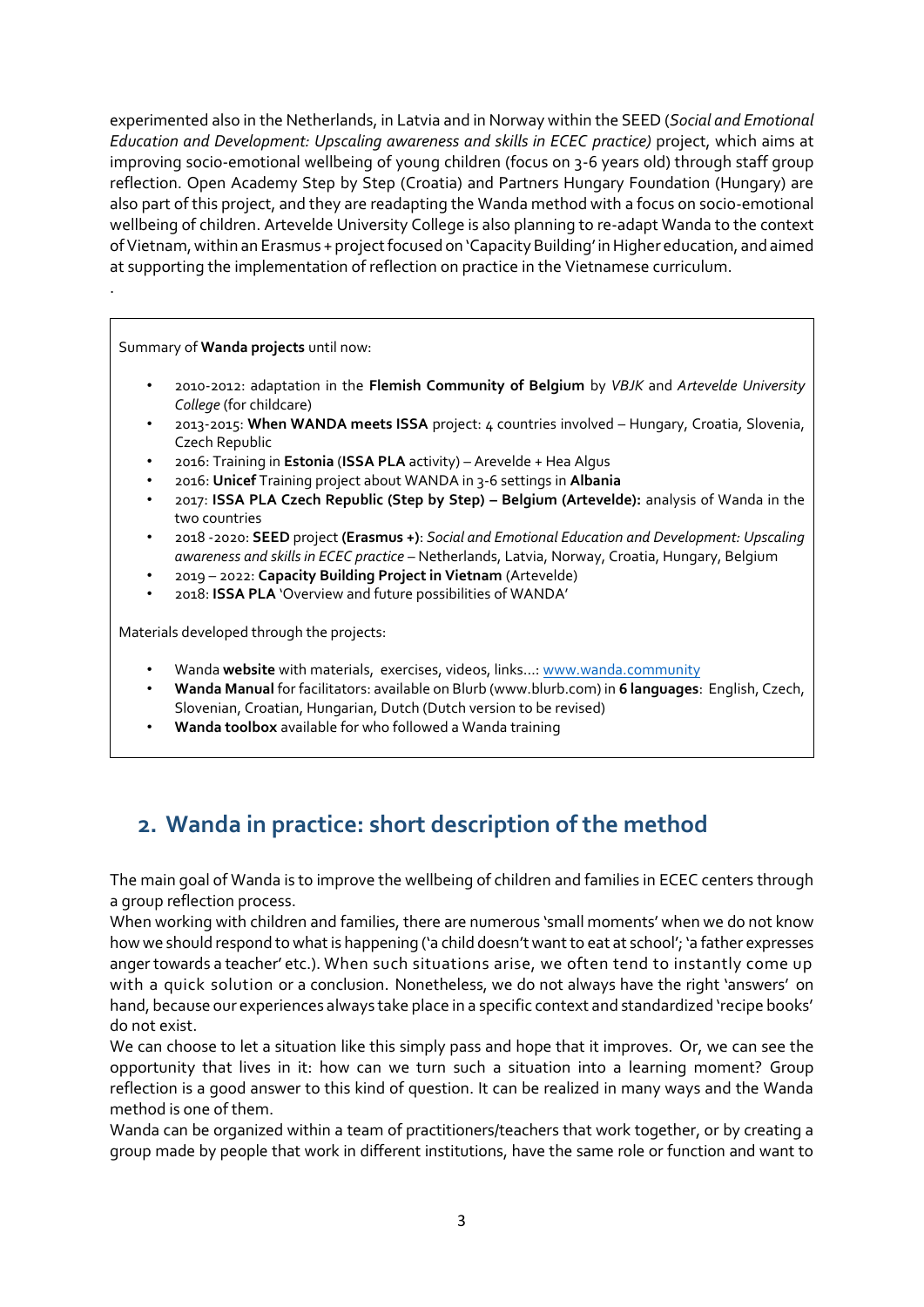experimented also in the Netherlands, in Latvia and in Norway within the SEED (*Social and Emotional Education and Development: Upscaling awareness and skills in ECEC practice)* project, which aims at improving socio-emotional wellbeing of young children (focus on 3-6 years old) through staff group reflection. Open Academy Step by Step (Croatia) and Partners Hungary Foundation (Hungary) are also part of this project, and they are readapting the Wanda method with a focus on socio-emotional wellbeing of children. Artevelde University College is also planning to re-adapt Wanda to the context of Vietnam, within an Erasmus + project focused on 'Capacity Building' in Higher education, and aimed at supporting the implementation of reflection on practice in the Vietnamese curriculum.

Summary of **Wanda projects** until now:

.

- 2010-2012: adaptation in the **Flemish Community of Belgium** by *VBJK* and *Artevelde University College* (for childcare)
- 2013-2015: **When WANDA meets ISSA** project: 4 countries involved Hungary, Croatia, Slovenia, Czech Republic
- 2016: Training in **Estonia** (**ISSA PLA** activity) Arevelde + Hea Algus
- 2016: **Unicef** Training project about WANDA in 3-6 settings in **Albania**
- 2017: **ISSA PLA Czech Republic (Step by Step) – Belgium (Artevelde):** analysis of Wanda in the two countries
- 2018 -2020: **SEED** project **(Erasmus +)**: *Social and Emotional Education and Development: Upscaling awareness and skills in ECEC practice* – Netherlands, Latvia, Norway, Croatia, Hungary, Belgium
- 2019 2022: **Capacity Building Project in Vietnam** (Artevelde)
- 2018: **ISSA PLA** 'Overview and future possibilities of WANDA'

Materials developed through the projects:

- Wanda **website** with materials, exercises, videos, links…: [www.wanda.community](http://www.wanda.community/)
- **Wanda Manual** for facilitators: available on Blurb (www.blurb.com) in **6 languages**: English, Czech, Slovenian, Croatian, Hungarian, Dutch (Dutch version to be revised)
- **Wanda toolbox** available for who followed a Wanda training

## **2. Wanda in practice: short description of the method**

The main goal of Wanda is to improve the wellbeing of children and families in ECEC centers through a group reflection process.

When working with children and families, there are numerous 'small moments' when we do not know how we should respond to what is happening ('a child doesn't want to eat at school'; 'a father expresses anger towards a teacher' etc.). When such situations arise, we often tend to instantly come up with a quick solution or a conclusion. Nonetheless, we do not always have the right 'answers' on hand, because our experiences always take place in a specific context and standardized 'recipe books' do not exist.

We can choose to let a situation like this simply pass and hope that it improves. Or, we can see the opportunity that lives in it: how can we turn such a situation into a learning moment? Group reflection is a good answer to this kind of question. It can be realized in many ways and the Wanda method is one of them.

Wanda can be organized within a team of practitioners/teachers that work together, or by creating a group made by people that work in different institutions, have the same role or function and want to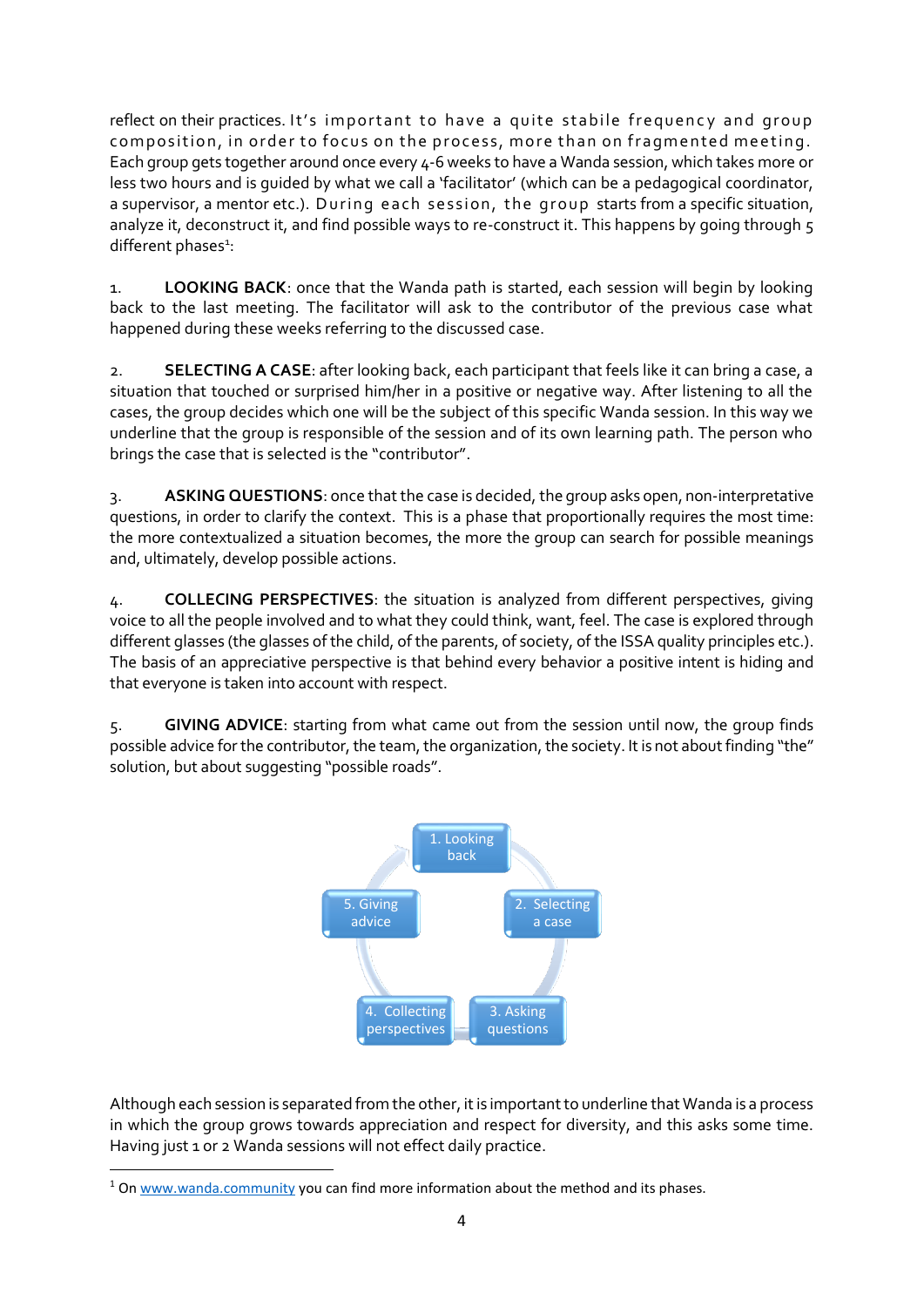reflect on their practices. It's important to have a quite stabile frequency and group composition, in order to focus on the process, more than on fragmented meeting. Each group gets together around once every 4-6 weeks to have a Wanda session, which takes more or less two hours and is guided by what we call a 'facilitator' (which can be a pedagogical coordinator, a supervisor, a mentor etc.). During each session, the group starts from a specific situation, analyze it, deconstruct it, and find possible ways to re-construct it. This happens by going through 5 different phases<sup>1</sup>:

1. **LOOKING BACK**: once that the Wanda path is started, each session will begin by looking back to the last meeting. The facilitator will ask to the contributor of the previous case what happened during these weeks referring to the discussed case.

2. **SELECTING A CASE**: after looking back, each participant that feels like it can bring a case, a situation that touched or surprised him/her in a positive or negative way. After listening to all the cases, the group decides which one will be the subject of this specific Wanda session. In this way we underline that the group is responsible of the session and of its own learning path. The person who brings the case that is selected is the "contributor".

3. **ASKING QUESTIONS**: once that the case is decided, the group asks open, non-interpretative questions, in order to clarify the context. This is a phase that proportionally requires the most time: the more contextualized a situation becomes, the more the group can search for possible meanings and, ultimately, develop possible actions.

4. **COLLECING PERSPECTIVES**: the situation is analyzed from different perspectives, giving voice to all the people involved and to what they could think, want, feel. The case is explored through different glasses (the glasses of the child, of the parents, of society, of the ISSA quality principles etc.). The basis of an appreciative perspective is that behind every behavior a positive intent is hiding and that everyone is taken into account with respect.

5. **GIVING ADVICE**: starting from what came out from the session until now, the group finds possible advice for the contributor, the team, the organization, the society. It is not about finding "the" solution, but about suggesting "possible roads".



Although each session is separated from the other, it is important to underline that Wanda is a process in which the group grows towards appreciation and respect for diversity, and this asks some time. Having just 1 or 2 Wanda sessions will not effect daily practice.

**.** 

<sup>&</sup>lt;sup>1</sup> O[n www.wanda.community](http://www.wanda.community/) you can find more information about the method and its phases.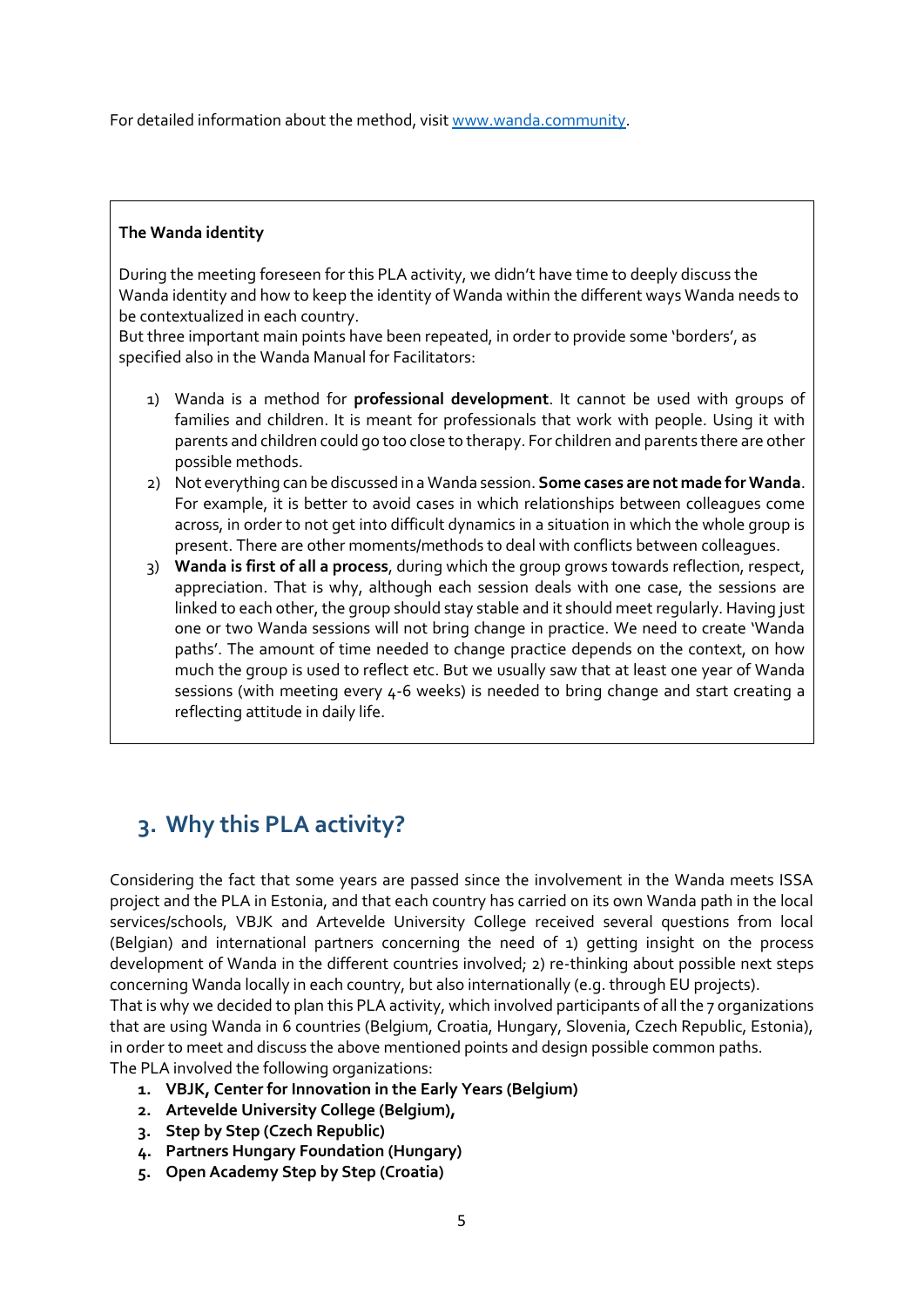For detailed information about the method, visi[t www.wanda.community.](http://www.wanda.community/)

#### **The Wanda identity**

During the meeting foreseen for this PLA activity, we didn't have time to deeply discuss the Wanda identity and how to keep the identity of Wanda within the different ways Wanda needs to be contextualized in each country.

But three important main points have been repeated, in order to provide some 'borders', as specified also in the Wanda Manual for Facilitators:

- 1) Wanda is a method for **professional development**. It cannot be used with groups of families and children. It is meant for professionals that work with people. Using it with parents and children could go too close to therapy. For children and parents there are other possible methods.
- 2) Not everything can be discussed in a Wanda session. **Some cases are not made for Wanda**. For example, it is better to avoid cases in which relationships between colleagues come across, in order to not get into difficult dynamics in a situation in which the whole group is present. There are other moments/methods to deal with conflicts between colleagues.
- 3) **Wanda is first of all a process**, during which the group grows towards reflection, respect, appreciation. That is why, although each session deals with one case, the sessions are linked to each other, the group should stay stable and it should meet regularly. Having just one or two Wanda sessions will not bring change in practice. We need to create 'Wanda paths'. The amount of time needed to change practice depends on the context, on how much the group is used to reflect etc. But we usually saw that at least one year of Wanda sessions (with meeting every 4-6 weeks) is needed to bring change and start creating a reflecting attitude in daily life.

## **3. Why this PLA activity?**

Considering the fact that some years are passed since the involvement in the Wanda meets ISSA project and the PLA in Estonia, and that each country has carried on its own Wanda path in the local services/schools, VBJK and Artevelde University College received several questions from local (Belgian) and international partners concerning the need of 1) getting insight on the process development of Wanda in the different countries involved; 2) re-thinking about possible next steps concerning Wanda locally in each country, but also internationally (e.g. through EU projects).

That is why we decided to plan this PLA activity, which involved participants of all the 7 organizations that are using Wanda in 6 countries (Belgium, Croatia, Hungary, Slovenia, Czech Republic, Estonia), in order to meet and discuss the above mentioned points and design possible common paths.

The PLA involved the following organizations:

- **1. VBJK, Center for Innovation in the Early Years (Belgium)**
- **2. Artevelde University College (Belgium),**
- **3. Step by Step (Czech Republic)**
- **4. Partners Hungary Foundation (Hungary)**
- **5. Open Academy Step by Step (Croatia)**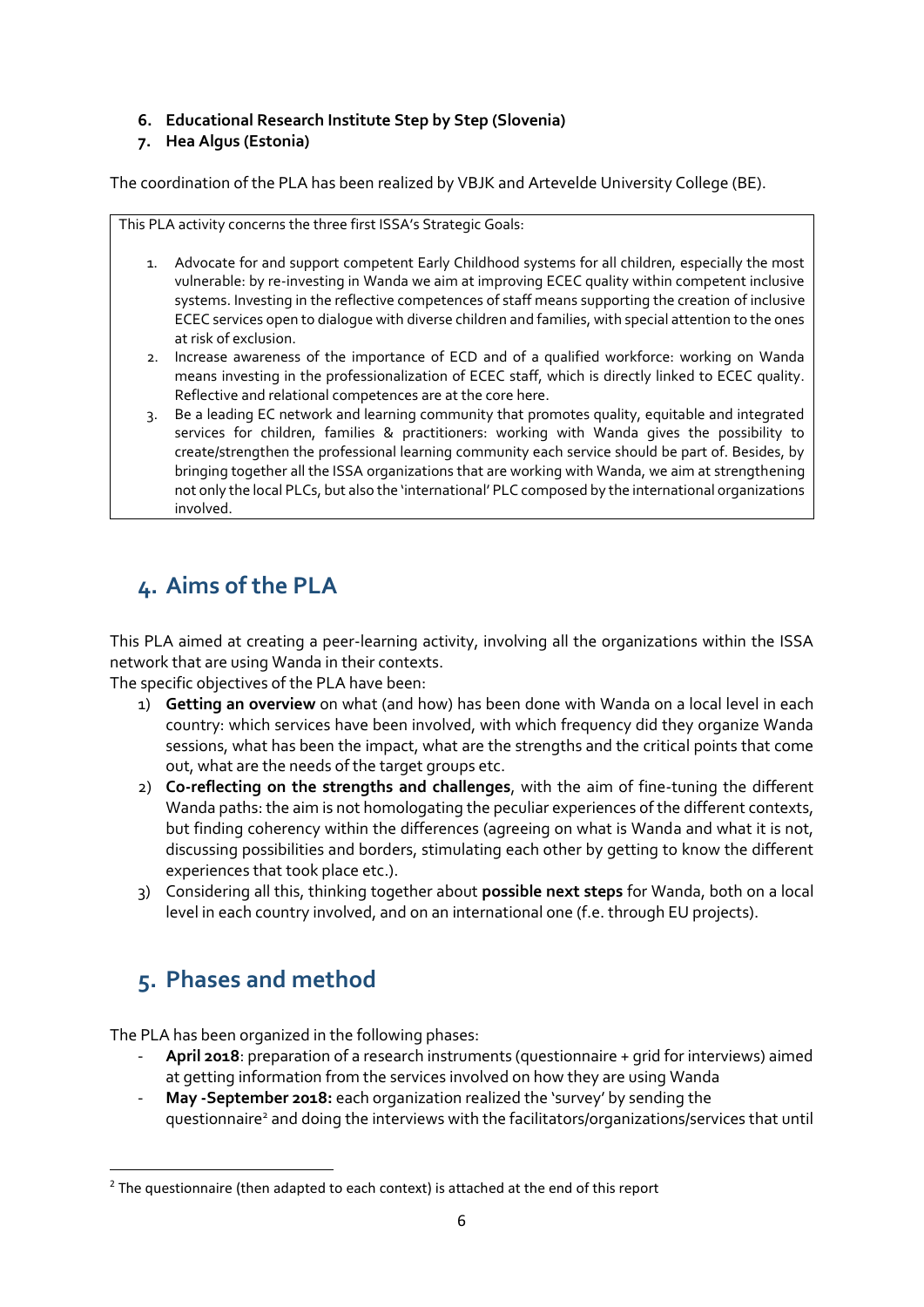#### **6. Educational Research Institute Step by Step (Slovenia)**

#### **7. Hea Algus (Estonia)**

The coordination of the PLA has been realized by VBJK and Artevelde University College (BE).

This PLA activity concerns the three first ISSA's Strategic Goals:

- 1. Advocate for and support competent Early Childhood systems for all children, especially the most vulnerable: by re-investing in Wanda we aim at improving ECEC quality within competent inclusive systems. Investing in the reflective competences of staff means supporting the creation of inclusive ECEC services open to dialogue with diverse children and families, with special attention to the ones at risk of exclusion.
- 2. Increase awareness of the importance of ECD and of a qualified workforce: working on Wanda means investing in the professionalization of ECEC staff, which is directly linked to ECEC quality. Reflective and relational competences are at the core here.
- 3. Be a leading EC network and learning community that promotes quality, equitable and integrated services for children, families & practitioners: working with Wanda gives the possibility to create/strengthen the professional learning community each service should be part of. Besides, by bringing together all the ISSA organizations that are working with Wanda, we aim at strengthening not only the local PLCs, but also the 'international' PLC composed by the international organizations involved.

## **4. Aims of the PLA**

This PLA aimed at creating a peer-learning activity, involving all the organizations within the ISSA network that are using Wanda in their contexts.

The specific objectives of the PLA have been:

- 1) **Getting an overview** on what (and how) has been done with Wanda on a local level in each country: which services have been involved, with which frequency did they organize Wanda sessions, what has been the impact, what are the strengths and the critical points that come out, what are the needs of the target groups etc.
- 2) **Co-reflecting on the strengths and challenges**, with the aim of fine-tuning the different Wanda paths: the aim is not homologating the peculiar experiences of the different contexts, but finding coherency within the differences (agreeing on what is Wanda and what it is not, discussing possibilities and borders, stimulating each other by getting to know the different experiences that took place etc.).
- 3) Considering all this, thinking together about **possible next steps** for Wanda, both on a local level in each country involved, and on an international one (f.e. through EU projects).

## **5. Phases and method**

**.** 

The PLA has been organized in the following phases:

- **April 2018**: preparation of a research instruments (questionnaire + grid for interviews) aimed at getting information from the services involved on how they are using Wanda
- **May -September 2018:** each organization realized the 'survey' by sending the questionnaire<sup>2</sup> and doing the interviews with the facilitators/organizations/services that until

<sup>&</sup>lt;sup>2</sup> The questionnaire (then adapted to each context) is attached at the end of this report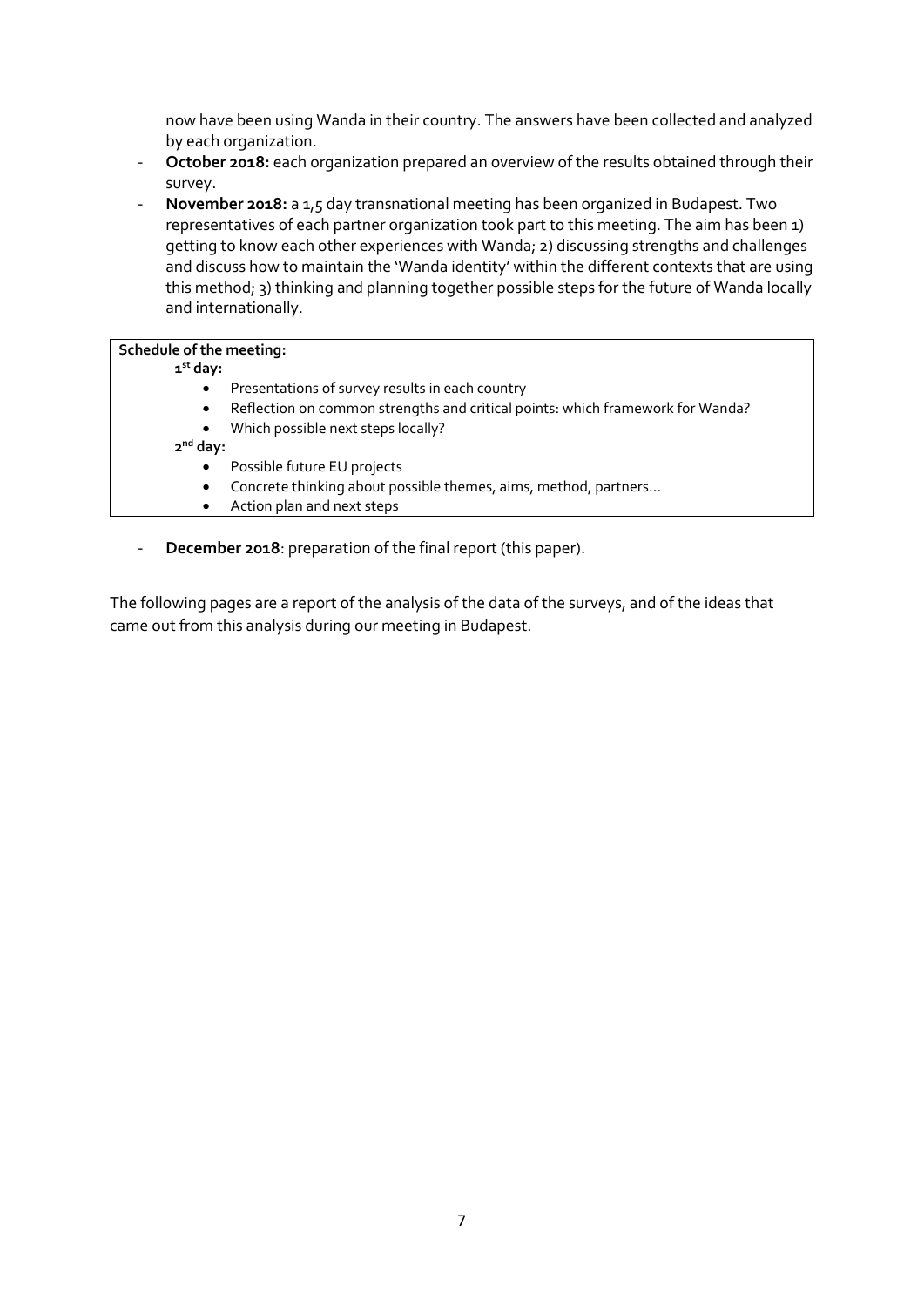now have been using Wanda in their country. The answers have been collected and analyzed by each organization.

- **October 2018:** each organization prepared an overview of the results obtained through their survey.
- **November 2018:** a 1,5 day transnational meeting has been organized in Budapest. Two representatives of each partner organization took part to this meeting. The aim has been 1) getting to know each other experiences with Wanda; 2) discussing strengths and challenges and discuss how to maintain the 'Wanda identity' within the different contexts that are using this method; 3) thinking and planning together possible steps for the future of Wanda locally and internationally.

#### **Schedule of the meeting:**

- **1 st day:**
	- Presentations of survey results in each country
	- Reflection on common strengths and critical points: which framework for Wanda?
	- Which possible next steps locally?

**2 nd day:**

- Possible future EU projects
- Concrete thinking about possible themes, aims, method, partners…
- Action plan and next steps
- **December 2018**: preparation of the final report (this paper).

The following pages are a report of the analysis of the data of the surveys, and of the ideas that came out from this analysis during our meeting in Budapest.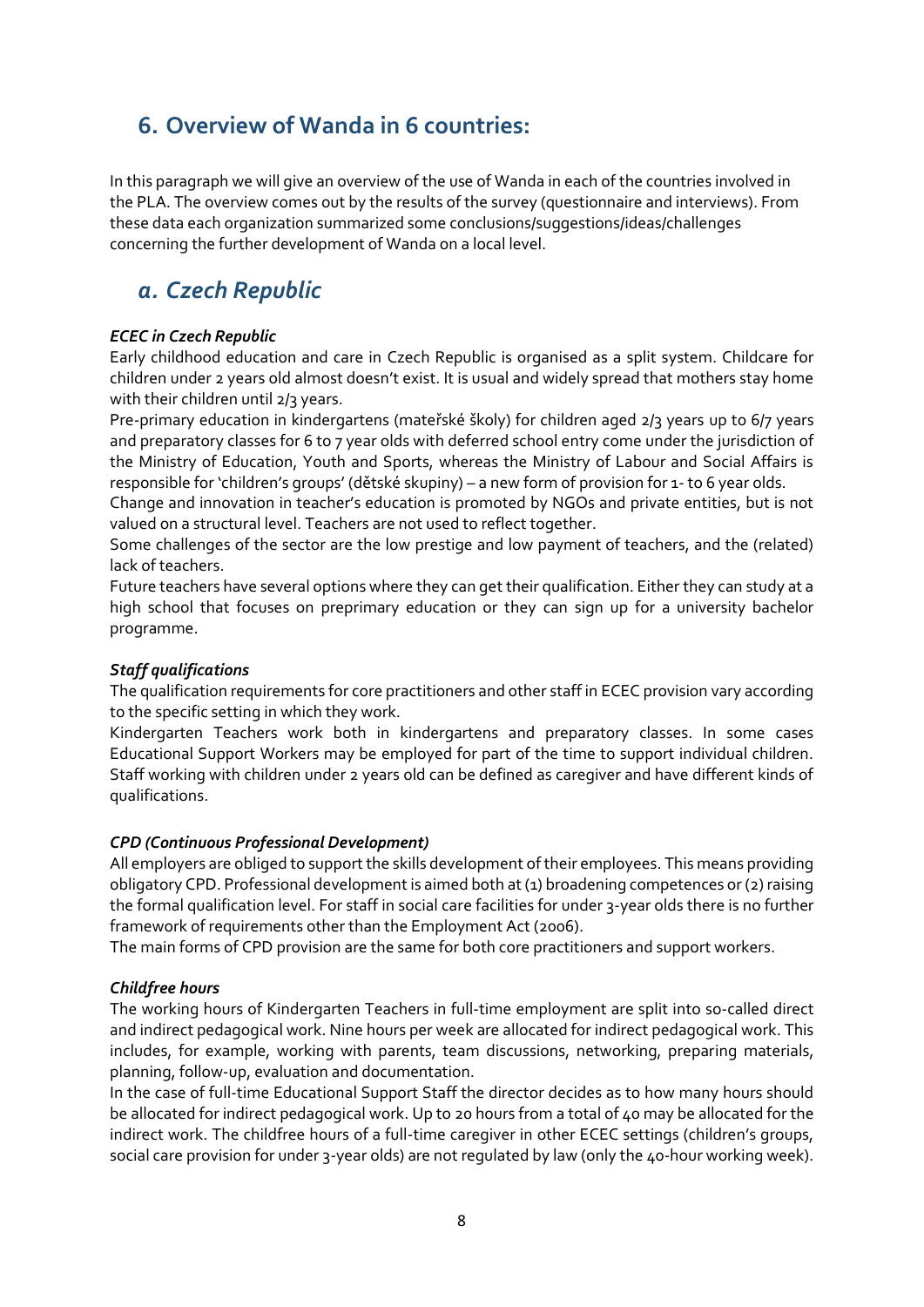## **6. Overview of Wanda in 6 countries:**

In this paragraph we will give an overview of the use of Wanda in each of the countries involved in the PLA. The overview comes out by the results of the survey (questionnaire and interviews). From these data each organization summarized some conclusions/suggestions/ideas/challenges concerning the further development of Wanda on a local level.

## *a. Czech Republic*

#### *ECEC in Czech Republic*

Early childhood education and care in Czech Republic is organised as a split system. Childcare for children under 2 years old almost doesn't exist. It is usual and widely spread that mothers stay home with their children until 2/3 years.

Pre-primary education in kindergartens (mateřské školy) for children aged 2/3 years up to 6/7 years and preparatory classes for 6 to 7 year olds with deferred school entry come under the jurisdiction of the Ministry of Education, Youth and Sports, whereas the Ministry of Labour and Social Affairs is responsible for 'children's groups' (dětské skupiny) – a new form of provision for 1- to 6 year olds.

Change and innovation in teacher's education is promoted by NGOs and private entities, but is not valued on a structural level. Teachers are not used to reflect together.

Some challenges of the sector are the low prestige and low payment of teachers, and the (related) lack of teachers.

Future teachers have several options where they can get their qualification. Either they can study at a high school that focuses on preprimary education or they can sign up for a university bachelor programme.

#### *Staff qualifications*

The qualification requirements for core practitioners and other staff in ECEC provision vary according to the specific setting in which they work.

Kindergarten Teachers work both in kindergartens and preparatory classes. In some cases Educational Support Workers may be employed for part of the time to support individual children. Staff working with children under 2 years old can be defined as caregiver and have different kinds of qualifications.

#### *CPD (Continuous Professional Development)*

All employers are obliged to support the skills development of their employees. This means providing obligatory CPD. Professional development is aimed both at (1) broadening competences or (2) raising the formal qualification level. For staff in social care facilities for under 3-year olds there is no further framework of requirements other than the Employment Act (2006).

The main forms of CPD provision are the same for both core practitioners and support workers.

#### *Childfree hours*

The working hours of Kindergarten Teachers in full-time employment are split into so-called direct and indirect pedagogical work. Nine hours per week are allocated for indirect pedagogical work. This includes, for example, working with parents, team discussions, networking, preparing materials, planning, follow-up, evaluation and documentation.

In the case of full-time Educational Support Staff the director decides as to how many hours should be allocated for indirect pedagogical work. Up to 20 hours from a total of 40 may be allocated for the indirect work. The childfree hours of a full-time caregiver in other ECEC settings (children's groups, social care provision for under 3-year olds) are not regulated by law (only the 40-hour working week).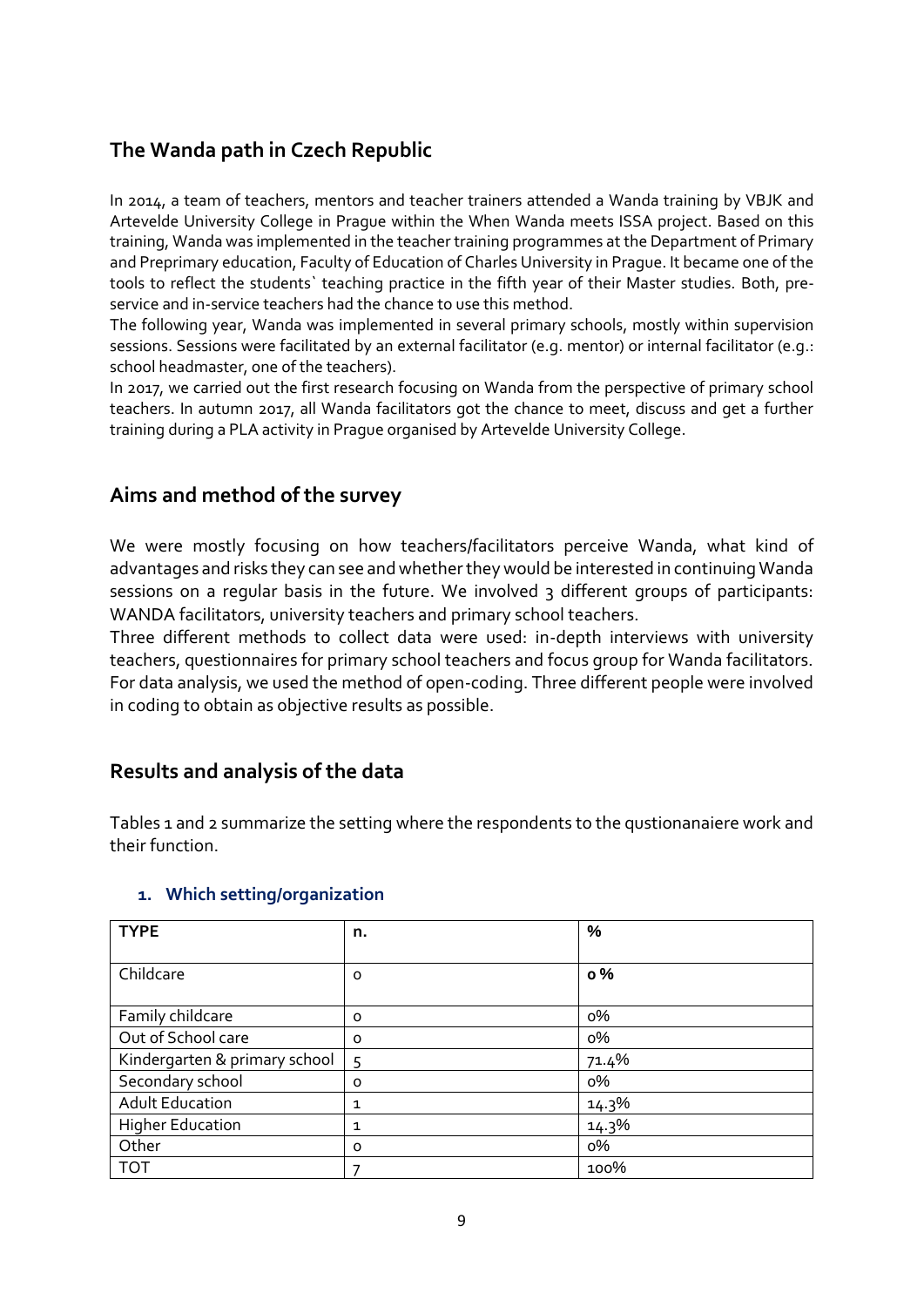## **The Wanda path in Czech Republic**

In 2014, a team of teachers, mentors and teacher trainers attended a Wanda training by VBJK and Artevelde University College in Prague within the When Wanda meets ISSA project. Based on this training, Wanda was implemented in the teacher training programmes at the Department of Primary and Preprimary education, Faculty of Education of Charles University in Prague. It became one of the tools to reflect the students` teaching practice in the fifth year of their Master studies. Both, preservice and in-service teachers had the chance to use this method.

The following year, Wanda was implemented in several primary schools, mostly within supervision sessions. Sessions were facilitated by an external facilitator (e.g. mentor) or internal facilitator (e.g.: school headmaster, one of the teachers).

In 2017, we carried out the first research focusing on Wanda from the perspective of primary school teachers. In autumn 2017, all Wanda facilitators got the chance to meet, discuss and get a further training during a PLA activity in Prague organised by Artevelde University College.

### **Aims and method of the survey**

We were mostly focusing on how teachers/facilitators perceive Wanda, what kind of advantages and risks they can see and whether they would be interested in continuing Wanda sessions on a regular basis in the future. We involved 3 different groups of participants: WANDA facilitators, university teachers and primary school teachers.

Three different methods to collect data were used: in-depth interviews with university teachers, questionnaires for primary school teachers and focus group for Wanda facilitators. For data analysis, we used the method of open-coding. Three different people were involved in coding to obtain as objective results as possible.

## **Results and analysis of the data**

Tables 1 and 2 summarize the setting where the respondents to the qustionanaiere work and their function.

#### **1. Which setting/organization**

| <b>TYPE</b>                   | n.      | %         |
|-------------------------------|---------|-----------|
|                               |         |           |
| Childcare                     | o       | $\circ$ % |
|                               |         |           |
| Family childcare              | 0       | о%        |
| Out of School care            | $\circ$ | о%        |
| Kindergarten & primary school | 5       | 71.4%     |
| Secondary school              | $\circ$ | о%        |
| <b>Adult Education</b>        | 1       | 14.3%     |
| <b>Higher Education</b>       | 1       | 14.3%     |
| Other                         | 0       | о%        |
| <b>TOT</b>                    |         | 100%      |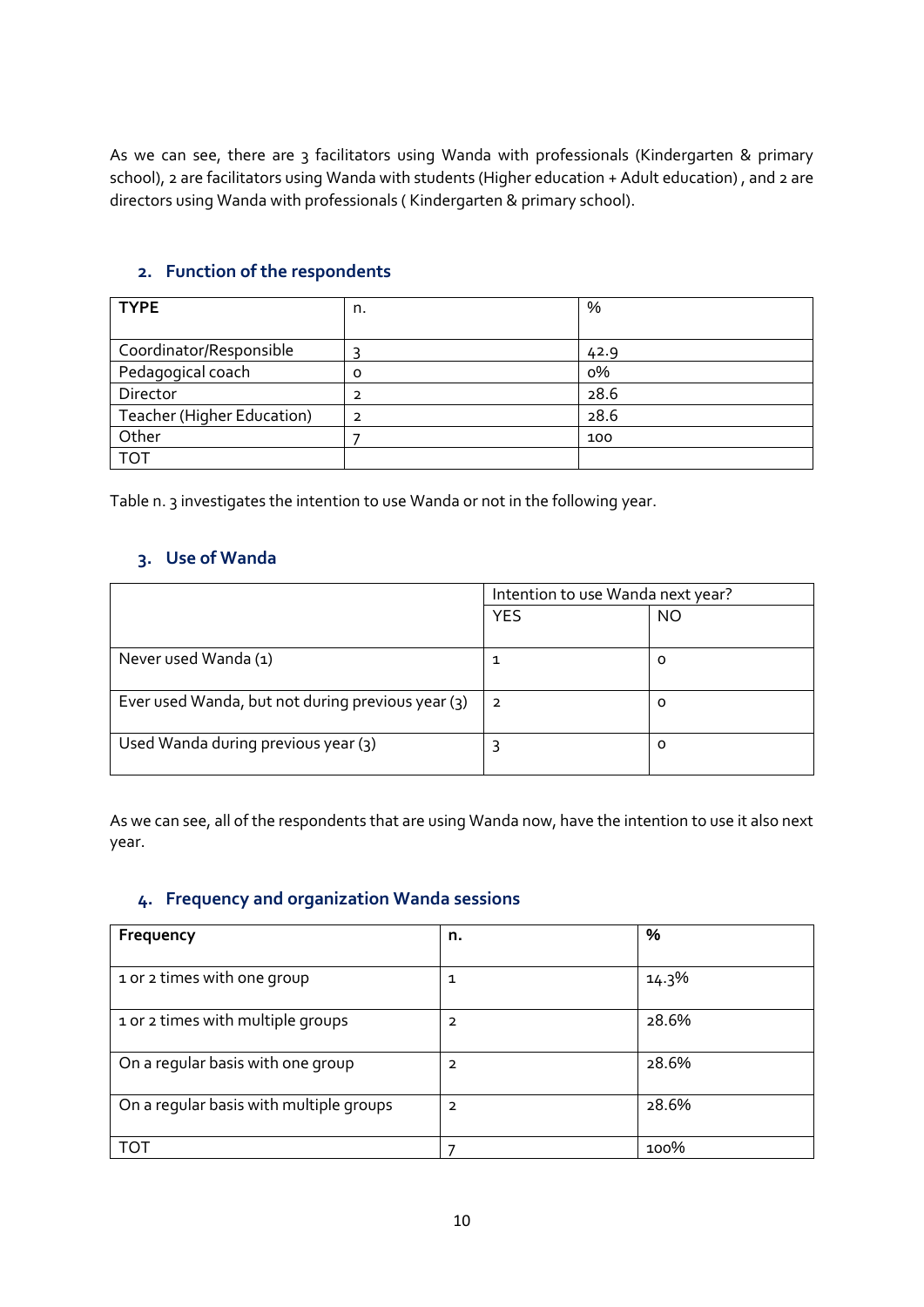As we can see, there are 3 facilitators using Wanda with professionals (Kindergarten & primary school), 2 are facilitators using Wanda with students (Higher education + Adult education) , and 2 are directors using Wanda with professionals ( Kindergarten & primary school).

#### **2. Function of the respondents**

| <b>TYPE</b>                | n. | %    |
|----------------------------|----|------|
|                            |    |      |
| Coordinator/Responsible    |    | 42.9 |
| Pedagogical coach          | Ο  | о%   |
| Director                   |    | 28.6 |
| Teacher (Higher Education) | 2  | 28.6 |
| Other                      |    | 100  |
| TOT                        |    |      |

Table n. 3 investigates the intention to use Wanda or not in the following year.

#### **3. Use of Wanda**

|                                                   | Intention to use Wanda next year? |    |
|---------------------------------------------------|-----------------------------------|----|
|                                                   | <b>YES</b>                        | NO |
| Never used Wanda (1)                              |                                   | o  |
| Ever used Wanda, but not during previous year (3) | っ                                 | o  |
| Used Wanda during previous year (3)               |                                   | o  |

As we can see, all of the respondents that are using Wanda now, have the intention to use it also next year.

#### **4. Frequency and organization Wanda sessions**

| Frequency                               | n.             | %     |
|-----------------------------------------|----------------|-------|
| 1 or 2 times with one group             | 1              | 14.3% |
| 1 or 2 times with multiple groups       | 2              | 28.6% |
|                                         |                |       |
| On a regular basis with one group       | $\overline{2}$ | 28.6% |
| On a regular basis with multiple groups | $\overline{2}$ | 28.6% |
| TOT                                     |                | 100%  |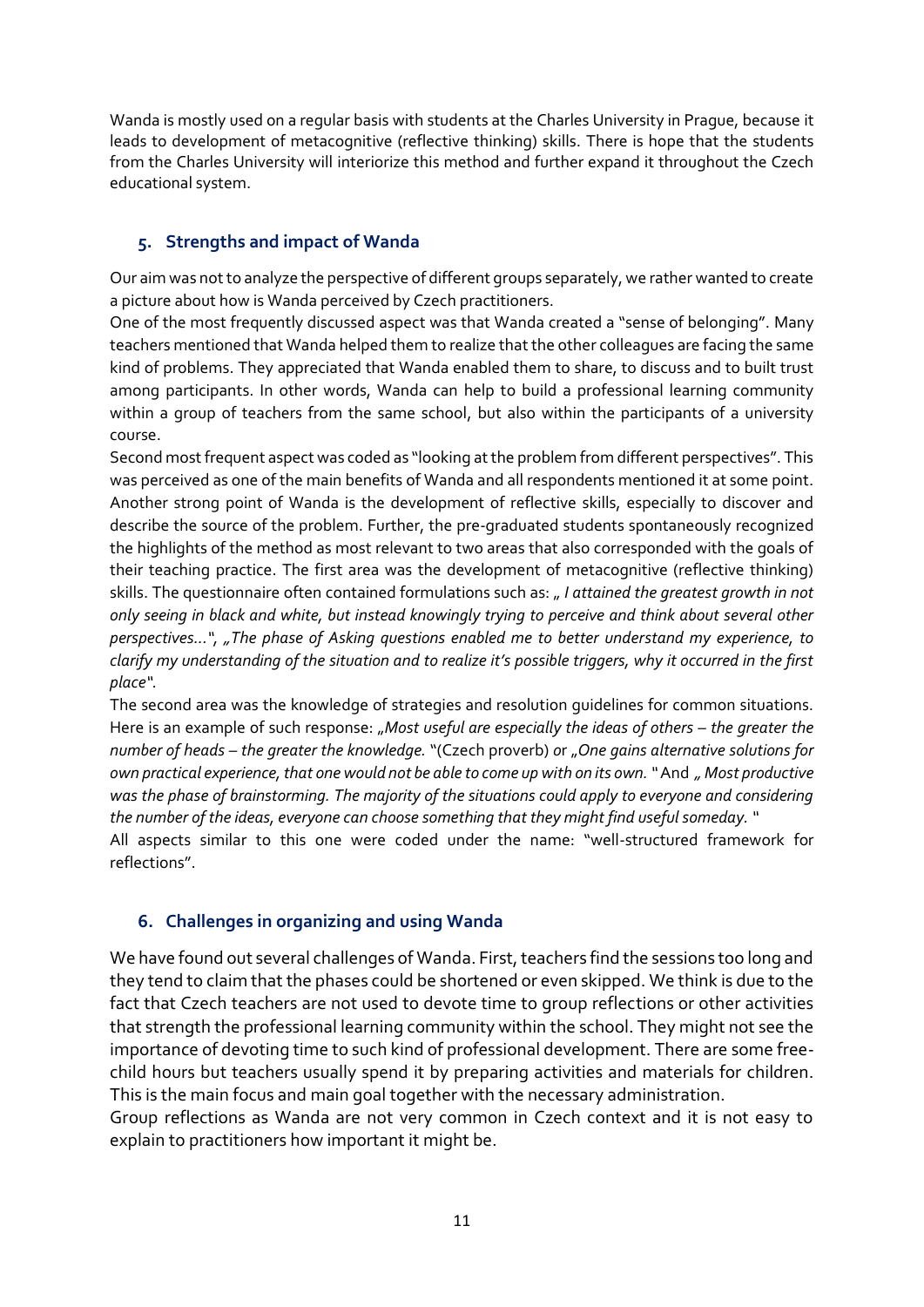Wanda is mostly used on a regular basis with students at the Charles University in Prague, because it leads to development of metacognitive (reflective thinking) skills. There is hope that the students from the Charles University will interiorize this method and further expand it throughout the Czech educational system.

#### **5. Strengths and impact of Wanda**

Our aim was not to analyze the perspective of different groups separately, we rather wanted to create a picture about how is Wanda perceived by Czech practitioners.

One of the most frequently discussed aspect was that Wanda created a "sense of belonging". Many teachers mentioned that Wanda helped them to realize that the other colleagues are facing the same kind of problems. They appreciated that Wanda enabled them to share, to discuss and to built trust among participants. In other words, Wanda can help to build a professional learning community within a group of teachers from the same school, but also within the participants of a university course.

Second most frequent aspect was coded as "looking at the problem from different perspectives". This was perceived as one of the main benefits of Wanda and all respondents mentioned it at some point. Another strong point of Wanda is the development of reflective skills, especially to discover and describe the source of the problem. Further, the pre-graduated students spontaneously recognized the highlights of the method as most relevant to two areas that also corresponded with the goals of their teaching practice. The first area was the development of metacognitive (reflective thinking) skills. The questionnaire often contained formulations such as: " *I attained the greatest growth in not only seeing in black and white, but instead knowingly trying to perceive and think about several other perspectives...", "The phase of Asking questions enabled me to better understand my experience, to clarify my understanding of the situation and to realize it's possible triggers, why it occurred in the first place".* 

The second area was the knowledge of strategies and resolution guidelines for common situations. Here is an example of such response: "Most useful are especially the ideas of others - the greater the *number of heads – the greater the knowledge.* "(Czech proverb) *o*r "*One gains alternative solutions for own practical experience, that one would not be able to come up with on its own. "* And *" Most productive was the phase of brainstorming. The majority of the situations could apply to everyone and considering the number of the ideas, everyone can choose something that they might find useful someday. "* 

All aspects similar to this one were coded under the name: "well-structured framework for reflections".

#### **6. Challenges in organizing and using Wanda**

We have found out several challenges of Wanda. First, teachers find the sessions too long and they tend to claim that the phases could be shortened or even skipped. We think is due to the fact that Czech teachers are not used to devote time to group reflections or other activities that strength the professional learning community within the school. They might not see the importance of devoting time to such kind of professional development. There are some freechild hours but teachers usually spend it by preparing activities and materials for children. This is the main focus and main goal together with the necessary administration.

Group reflections as Wanda are not very common in Czech context and it is not easy to explain to practitioners how important it might be.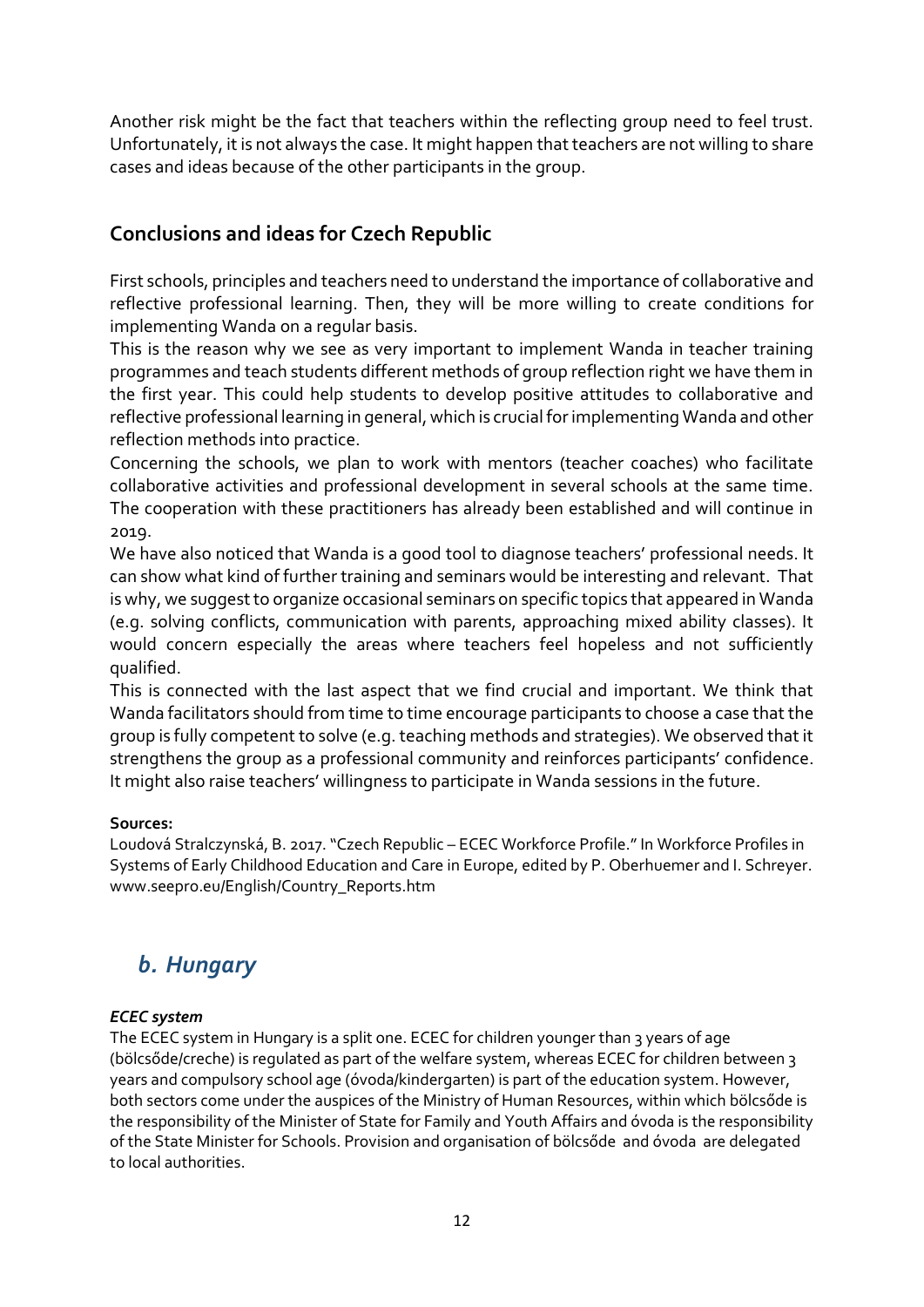Another risk might be the fact that teachers within the reflecting group need to feel trust. Unfortunately, it is not always the case. It might happen that teachers are not willing to share cases and ideas because of the other participants in the group.

## **Conclusions and ideas for Czech Republic**

First schools, principles and teachers need to understand the importance of collaborative and reflective professional learning. Then, they will be more willing to create conditions for implementing Wanda on a regular basis.

This is the reason why we see as very important to implement Wanda in teacher training programmes and teach students different methods of group reflection right we have them in the first year. This could help students to develop positive attitudes to collaborative and reflective professional learning in general, which is crucial for implementing Wanda and other reflection methods into practice.

Concerning the schools, we plan to work with mentors (teacher coaches) who facilitate collaborative activities and professional development in several schools at the same time. The cooperation with these practitioners has already been established and will continue in 2019.

We have also noticed that Wanda is a good tool to diagnose teachers' professional needs. It can show what kind of further training and seminars would be interesting and relevant. That is why, we suggest to organize occasional seminars on specific topics that appeared in Wanda (e.g. solving conflicts, communication with parents, approaching mixed ability classes). It would concern especially the areas where teachers feel hopeless and not sufficiently qualified.

This is connected with the last aspect that we find crucial and important. We think that Wanda facilitators should from time to time encourage participants to choose a case that the group is fully competent to solve (e.g. teaching methods and strategies). We observed that it strengthens the group as a professional community and reinforces participants' confidence. It might also raise teachers' willingness to participate in Wanda sessions in the future.

#### **Sources:**

Loudová Stralczynská, B. 2017. "Czech Republic – ECEC Workforce Profile." In Workforce Profiles in Systems of Early Childhood Education and Care in Europe, edited by P. Oberhuemer and I. Schreyer. www.seepro.eu/English/Country\_Reports.htm

## *b. Hungary*

#### *ECEC system*

The ECEC system in Hungary is a split one. ECEC for children younger than 3 years of age (bölcsőde/creche) is regulated as part of the welfare system, whereas ECEC for children between 3 years and compulsory school age (óvoda/kindergarten) is part of the education system. However, both sectors come under the auspices of the Ministry of Human Resources, within which bölcsőde is the responsibility of the Minister of State for Family and Youth Affairs and óvoda is the responsibility of the State Minister for Schools. Provision and organisation of bölcsőde and óvoda are delegated to local authorities.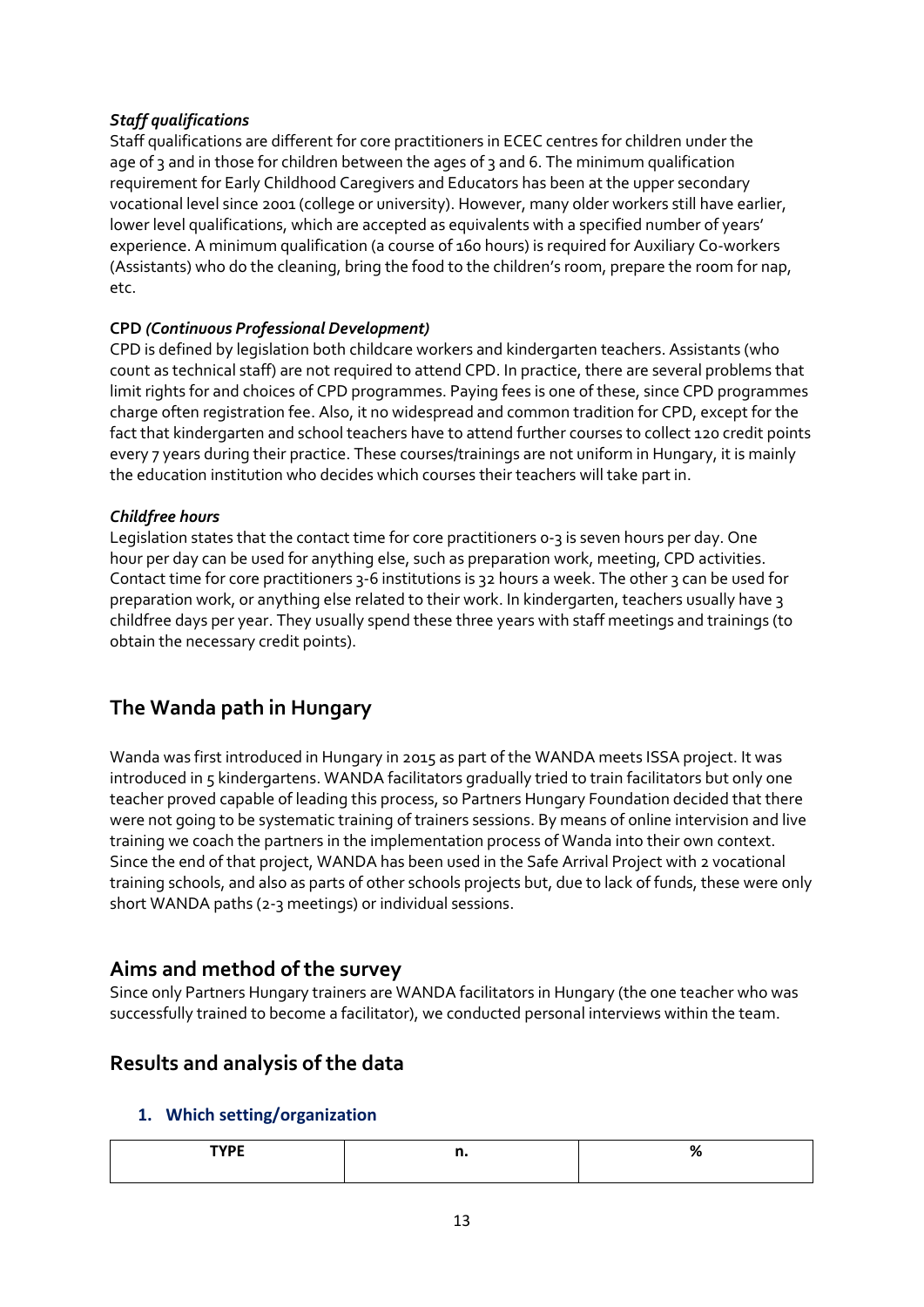#### *Staff qualifications*

Staff qualifications are different for core practitioners in ECEC centres for children under the age of 3 and in those for children between the ages of 3 and 6. The minimum qualification requirement for Early Childhood Caregivers and Educators has been at the upper secondary vocational level since 2001 (college or university). However, many older workers still have earlier, lower level qualifications, which are accepted as equivalents with a specified number of years' experience. A minimum qualification (a course of 160 hours) is required for Auxiliary Co-workers (Assistants) who do the cleaning, bring the food to the children's room, prepare the room for nap, etc.

#### **CPD** *(Continuous Professional Development)*

CPD is defined by legislation both childcare workers and kindergarten teachers. Assistants (who count as technical staff) are not required to attend CPD. In practice, there are several problems that limit rights for and choices of CPD programmes. Paying fees is one of these, since CPD programmes charge often registration fee. Also, it no widespread and common tradition for CPD, except for the fact that kindergarten and school teachers have to attend further courses to collect 120 credit points every 7 years during their practice. These courses/trainings are not uniform in Hungary, it is mainly the education institution who decides which courses their teachers will take part in.

#### *Childfree hours*

Legislation states that the contact time for core practitioners 0-3 is seven hours per day. One hour per day can be used for anything else, such as preparation work, meeting, CPD activities. Contact time for core practitioners 3-6 institutions is 32 hours a week. The other 3 can be used for preparation work, or anything else related to their work. In kindergarten, teachers usually have 3 childfree days per year. They usually spend these three years with staff meetings and trainings (to obtain the necessary credit points).

## **The Wanda path in Hungary**

Wanda was first introduced in Hungary in 2015 as part of the WANDA meets ISSA project. It was introduced in 5 kindergartens. WANDA facilitators gradually tried to train facilitators but only one teacher proved capable of leading this process, so Partners Hungary Foundation decided that there were not going to be systematic training of trainers sessions. By means of online intervision and live training we coach the partners in the implementation process of Wanda into their own context. Since the end of that project, WANDA has been used in the Safe Arrival Project with 2 vocational training schools, and also as parts of other schools projects but, due to lack of funds, these were only short WANDA paths (2-3 meetings) or individual sessions.

## **Aims and method of the survey**

Since only Partners Hungary trainers are WANDA facilitators in Hungary (the one teacher who was successfully trained to become a facilitator), we conducted personal interviews within the team.

## **Results and analysis of the data**

#### **1. Which setting/organization**

| ---- |  |
|------|--|
|      |  |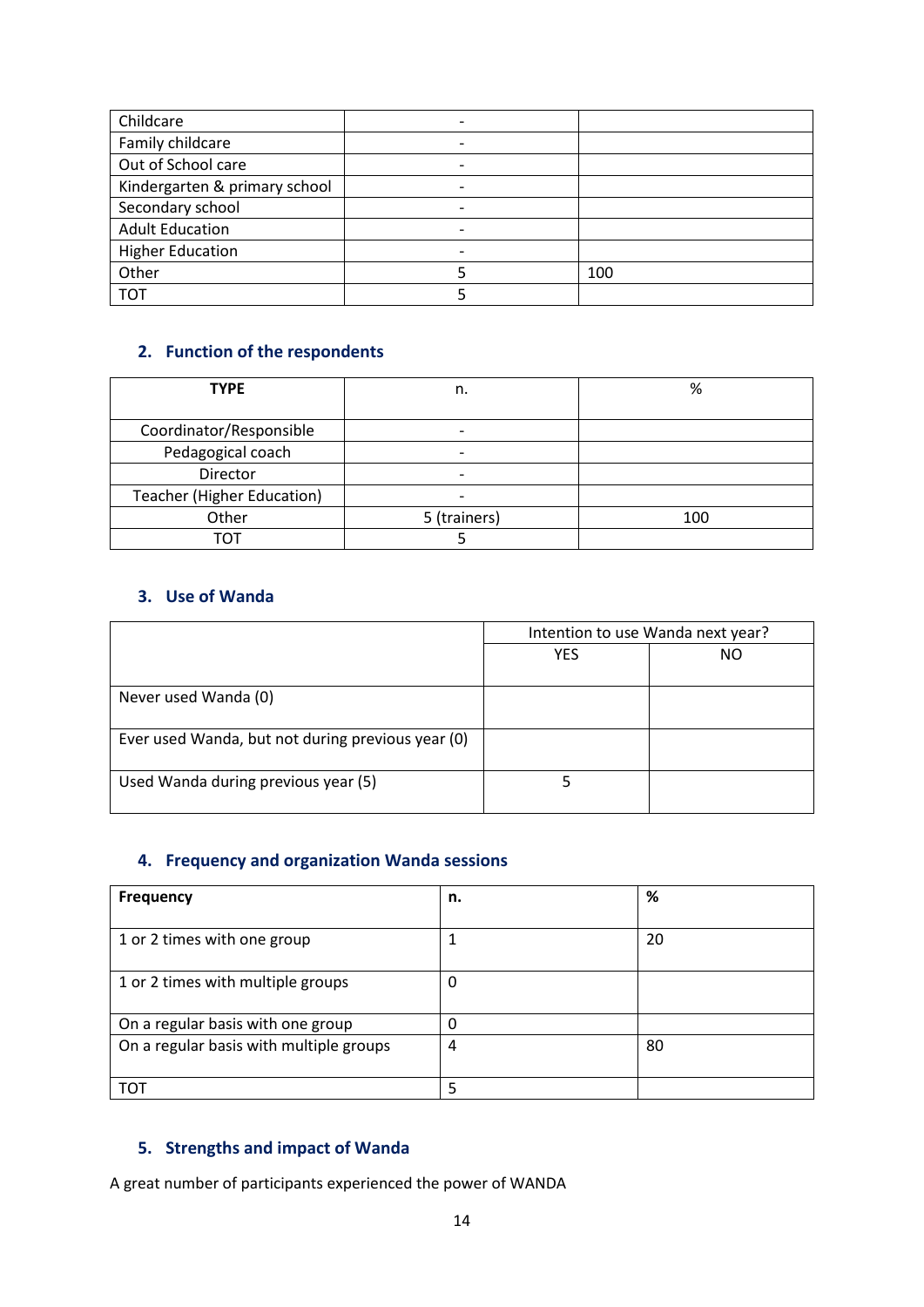| Childcare                     |   |     |
|-------------------------------|---|-----|
| Family childcare              |   |     |
| Out of School care            |   |     |
| Kindergarten & primary school |   |     |
| Secondary school              | - |     |
| <b>Adult Education</b>        | - |     |
| <b>Higher Education</b>       |   |     |
| Other                         |   | 100 |
| <b>TOT</b>                    |   |     |

### **2. Function of the respondents**

| <b>TYPE</b>                | n.                       | %   |
|----------------------------|--------------------------|-----|
|                            |                          |     |
| Coordinator/Responsible    | -                        |     |
| Pedagogical coach          | $\overline{\phantom{0}}$ |     |
| Director                   |                          |     |
| Teacher (Higher Education) |                          |     |
| Other                      | 5 (trainers)             | 100 |
| тот                        |                          |     |

#### **3. Use of Wanda**

|                                                   | Intention to use Wanda next year? |     |
|---------------------------------------------------|-----------------------------------|-----|
|                                                   | <b>YFS</b>                        | NO. |
|                                                   |                                   |     |
| Never used Wanda (0)                              |                                   |     |
| Ever used Wanda, but not during previous year (0) |                                   |     |
| Used Wanda during previous year (5)               |                                   |     |

#### **4. Frequency and organization Wanda sessions**

| <b>Frequency</b>                        | n. | %  |
|-----------------------------------------|----|----|
| 1 or 2 times with one group             |    | 20 |
| 1 or 2 times with multiple groups       | 0  |    |
| On a regular basis with one group       | 0  |    |
| On a regular basis with multiple groups | 4  | 80 |
| <b>TOT</b>                              | 5  |    |

#### **5. Strengths and impact of Wanda**

A great number of participants experienced the power of WANDA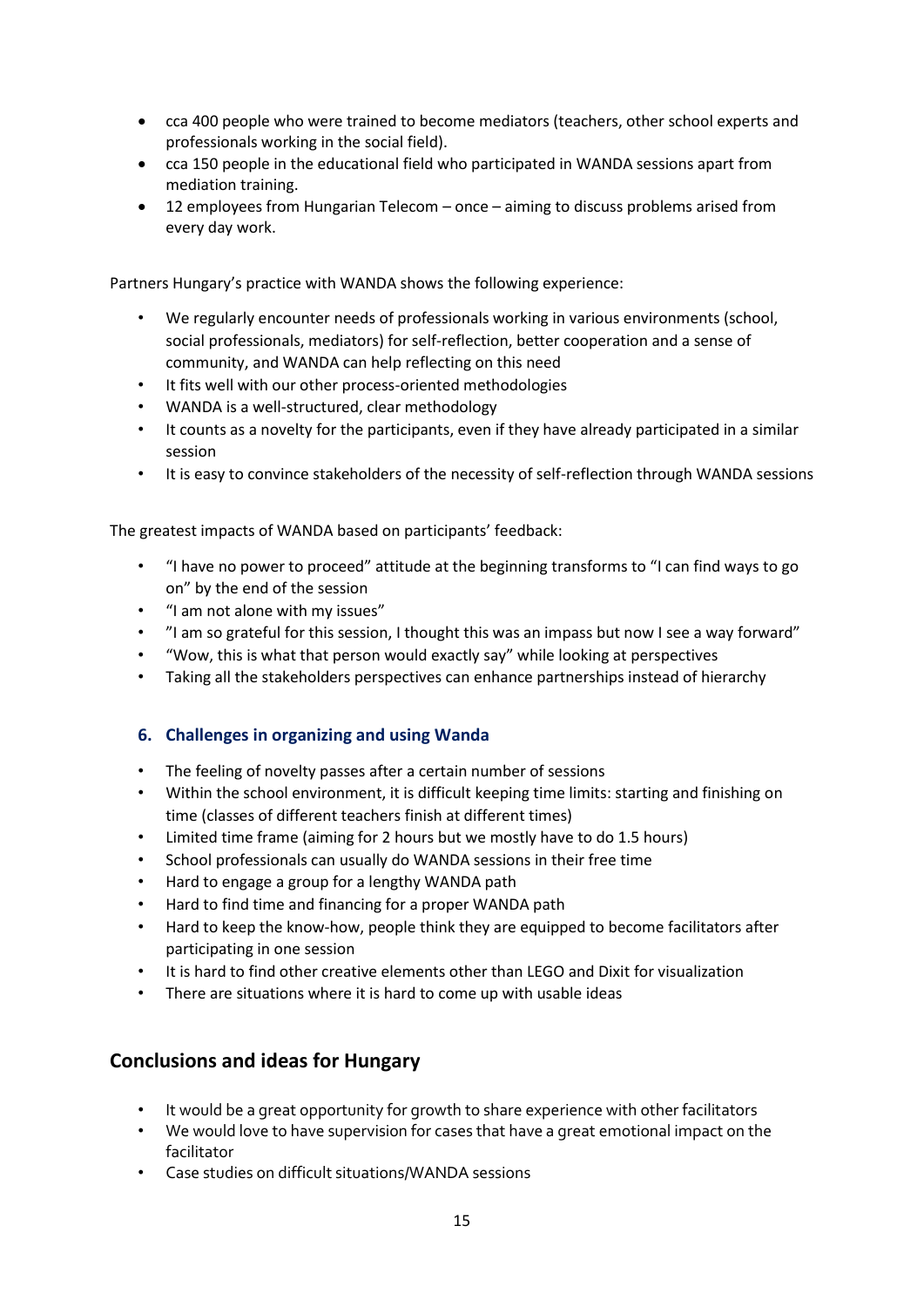- cca 400 people who were trained to become mediators (teachers, other school experts and professionals working in the social field).
- cca 150 people in the educational field who participated in WANDA sessions apart from mediation training.
- 12 employees from Hungarian Telecom once aiming to discuss problems arised from every day work.

Partners Hungary's practice with WANDA shows the following experience:

- We regularly encounter needs of professionals working in various environments (school, social professionals, mediators) for self-reflection, better cooperation and a sense of community, and WANDA can help reflecting on this need
- It fits well with our other process-oriented methodologies
- WANDA is a well-structured, clear methodology
- It counts as a novelty for the participants, even if they have already participated in a similar session
- It is easy to convince stakeholders of the necessity of self-reflection through WANDA sessions

The greatest impacts of WANDA based on participants' feedback:

- "I have no power to proceed" attitude at the beginning transforms to "I can find ways to go on" by the end of the session
- "I am not alone with my issues"
- "I am so grateful for this session, I thought this was an impass but now I see a way forward"
- "Wow, this is what that person would exactly say" while looking at perspectives
- Taking all the stakeholders perspectives can enhance partnerships instead of hierarchy

#### **6. Challenges in organizing and using Wanda**

- The feeling of novelty passes after a certain number of sessions
- Within the school environment, it is difficult keeping time limits: starting and finishing on time (classes of different teachers finish at different times)
- Limited time frame (aiming for 2 hours but we mostly have to do 1.5 hours)
- School professionals can usually do WANDA sessions in their free time
- Hard to engage a group for a lengthy WANDA path
- Hard to find time and financing for a proper WANDA path
- Hard to keep the know-how, people think they are equipped to become facilitators after participating in one session
- It is hard to find other creative elements other than LEGO and Dixit for visualization
- There are situations where it is hard to come up with usable ideas

#### **Conclusions and ideas for Hungary**

- It would be a great opportunity for growth to share experience with other facilitators
- We would love to have supervision for cases that have a great emotional impact on the facilitator
- Case studies on difficult situations/WANDA sessions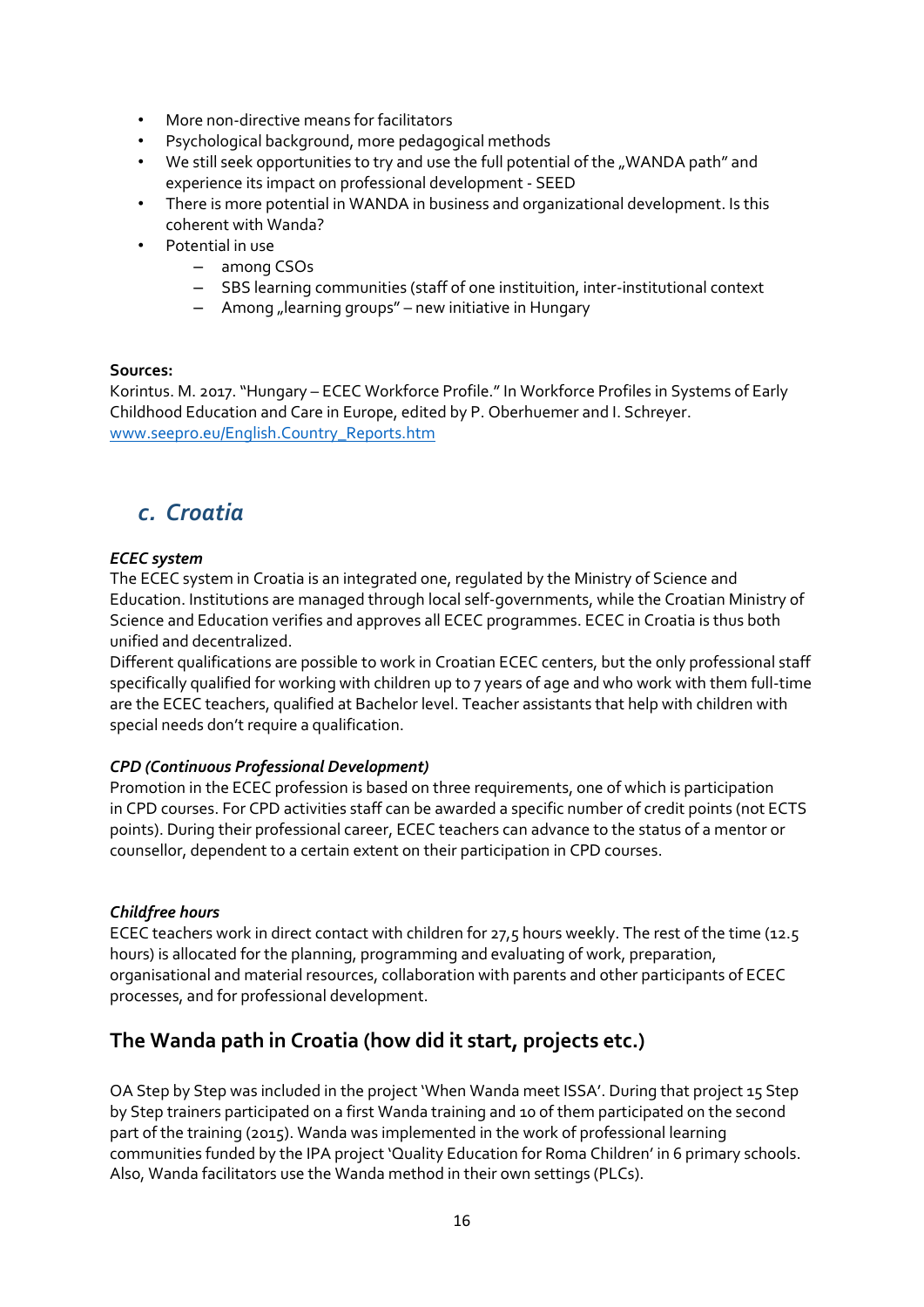- More non-directive means for facilitators
- Psychological background, more pedagogical methods
- We still seek opportunities to try and use the full potential of the "WANDA path" and experience its impact on professional development - SEED
- There is more potential in WANDA in business and organizational development. Is this coherent with Wanda?
- Potential in use
	- among CSOs
	- SBS learning communities (staff of one instituition, inter-institutional context
	- $-$  Among "learning groups" new initiative in Hungary

#### **Sources:**

Korintus. M. 2017. "Hungary – ECEC Workforce Profile." In Workforce Profiles in Systems of Early Childhood Education and Care in Europe, edited by P. Oberhuemer and I. Schreyer. [www.seepro.eu/English.Country\\_Reports.htm](http://www.seepro.eu/English.Country_Reports.htm)

## *c. Croatia*

#### *ECEC system*

The ECEC system in Croatia is an integrated one, regulated by the Ministry of Science and Education. Institutions are managed through local self-governments, while the Croatian Ministry of Science and Education verifies and approves all ECEC programmes. ECEC in Croatia is thus both unified and decentralized.

Different qualifications are possible to work in Croatian ECEC centers, but the only professional staff specifically qualified for working with children up to 7 years of age and who work with them full-time are the ECEC teachers, qualified at Bachelor level. Teacher assistants that help with children with special needs don't require a qualification.

#### *CPD (Continuous Professional Development)*

Promotion in the ECEC profession is based on three requirements, one of which is participation in CPD courses. For CPD activities staff can be awarded a specific number of credit points (not ECTS points). During their professional career, ECEC teachers can advance to the status of a mentor or counsellor, dependent to a certain extent on their participation in CPD courses.

#### *Childfree hours*

ECEC teachers work in direct contact with children for 27,5 hours weekly. The rest of the time (12.5 hours) is allocated for the planning, programming and evaluating of work, preparation, organisational and material resources, collaboration with parents and other participants of ECEC processes, and for professional development.

## **The Wanda path in Croatia (how did it start, projects etc.)**

OA Step by Step was included in the project 'When Wanda meet ISSA'. During that project 15 Step by Step trainers participated on a first Wanda training and 10 of them participated on the second part of the training (2015). Wanda was implemented in the work of professional learning communities funded by the IPA project 'Quality Education for Roma Children' in 6 primary schools. Also, Wanda facilitators use the Wanda method in their own settings (PLCs).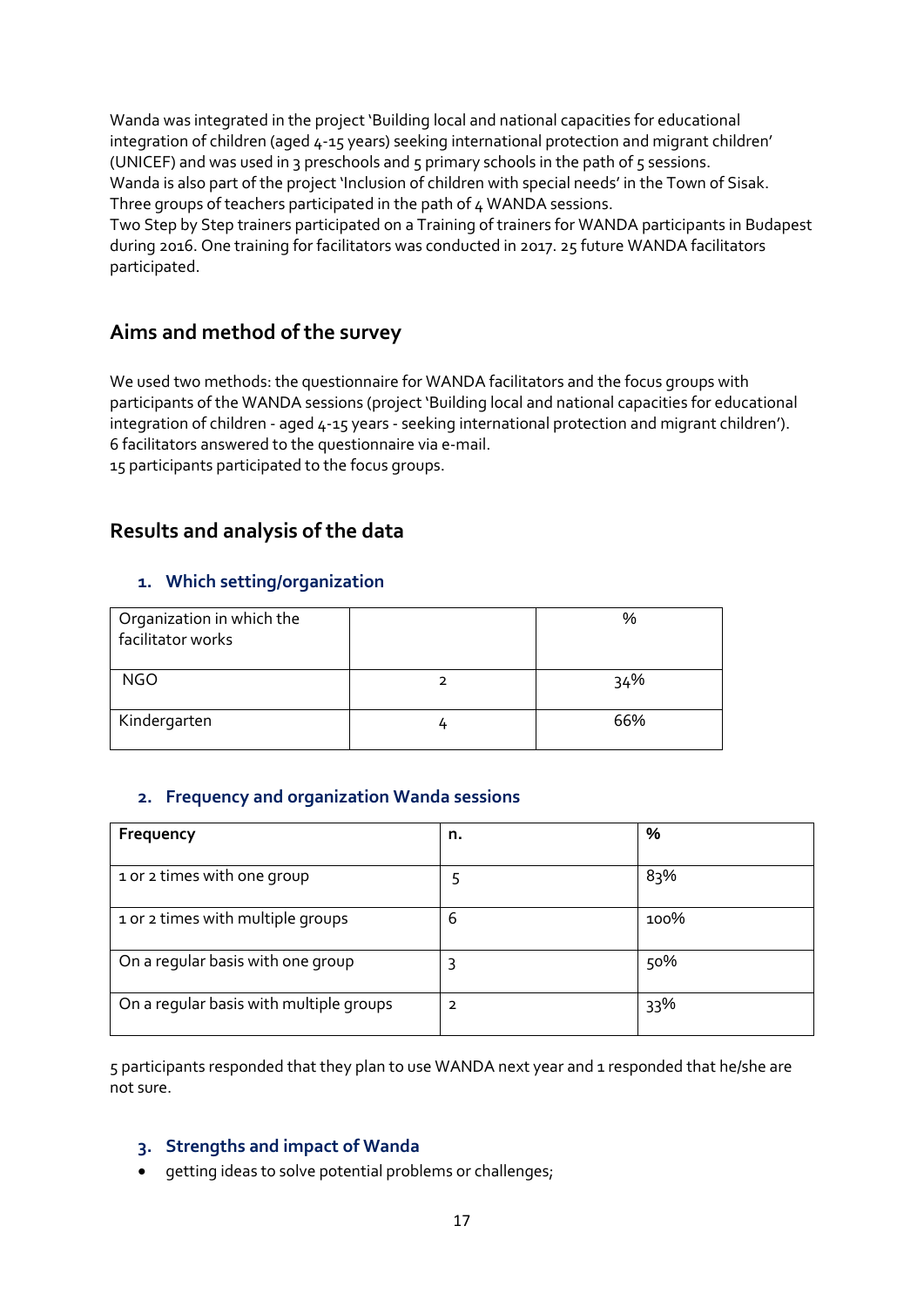Wanda was integrated in the project 'Building local and national capacities for educational integration of children (aged 4-15 years) seeking international protection and migrant children' (UNICEF) and was used in 3 preschools and  $5$  primary schools in the path of  $5$  sessions. Wanda is also part of the project 'Inclusion of children with special needs' in the Town of Sisak. Three groups of teachers participated in the path of 4 WANDA sessions.

Two Step by Step trainers participated on a Training of trainers for WANDA participants in Budapest during 2016. One training for facilitators was conducted in 2017. 25 future WANDA facilitators participated.

### **Aims and method of the survey**

We used two methods: the questionnaire for WANDA facilitators and the focus groups with participants of the WANDA sessions (project 'Building local and national capacities for educational integration of children - aged 4-15 years - seeking international protection and migrant children'). 6 facilitators answered to the questionnaire via e-mail.

15 participants participated to the focus groups.

### **Results and analysis of the data**

#### **1. Which setting/organization**

| Organization in which the<br>facilitator works | %   |
|------------------------------------------------|-----|
| <b>NGO</b>                                     | 34% |
| Kindergarten                                   | 66% |

#### **2. Frequency and organization Wanda sessions**

| Frequency                               | n.             | %    |
|-----------------------------------------|----------------|------|
| 1 or 2 times with one group             | 5              | 83%  |
| 1 or 2 times with multiple groups       | 6              | 100% |
| On a regular basis with one group       | 3              | 50%  |
| On a regular basis with multiple groups | $\overline{2}$ | 33%  |

5 participants responded that they plan to use WANDA next year and 1 responded that he/she are not sure.

#### **3. Strengths and impact of Wanda**

**•** getting ideas to solve potential problems or challenges;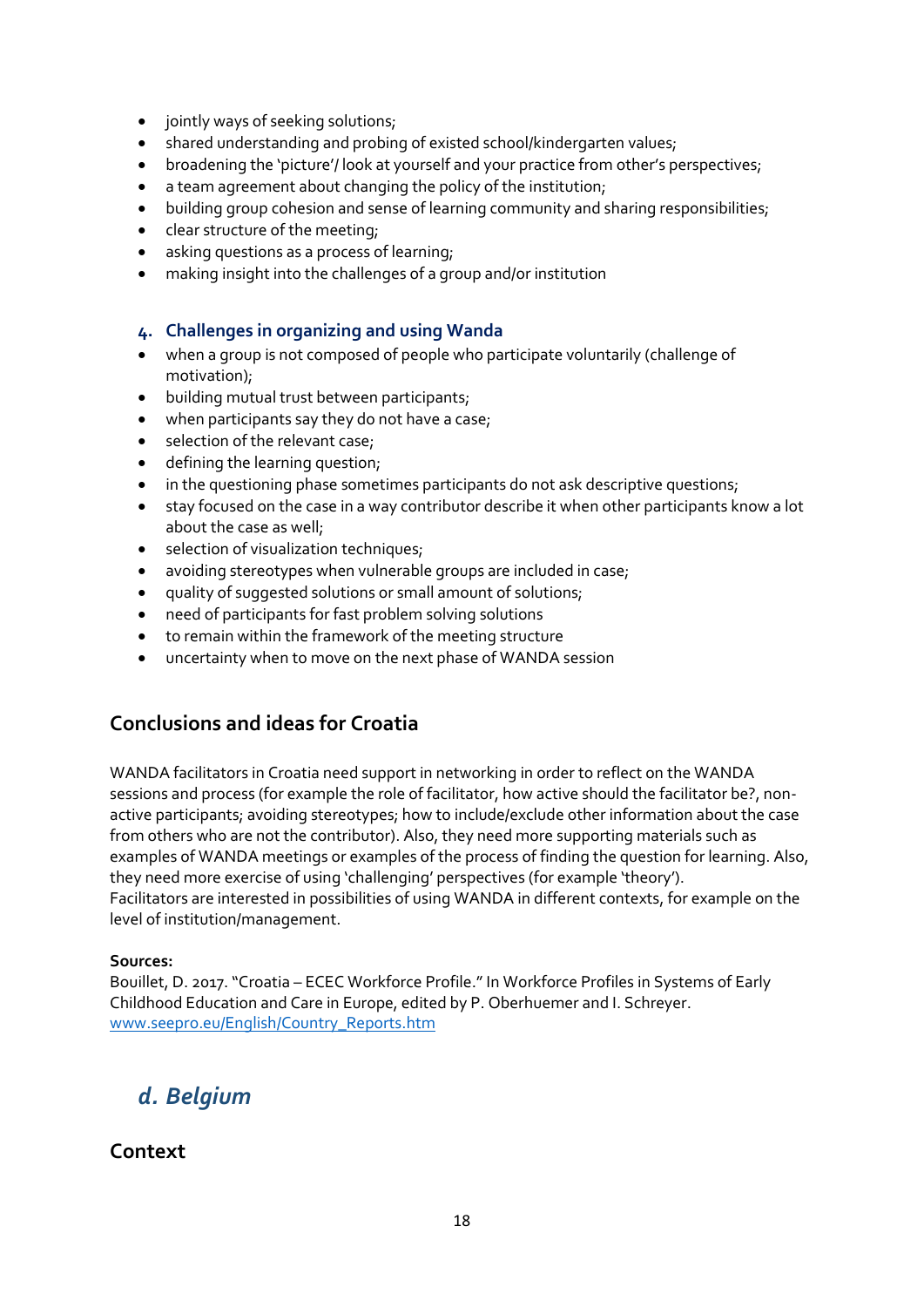- jointly ways of seeking solutions;
- shared understanding and probing of existed school/kindergarten values;
- broadening the 'picture'/ look at yourself and your practice from other's perspectives;
- a team agreement about changing the policy of the institution;
- building group cohesion and sense of learning community and sharing responsibilities;
- clear structure of the meeting;
- asking questions as a process of learning;
- making insight into the challenges of a group and/or institution

#### **4. Challenges in organizing and using Wanda**

- when a group is not composed of people who participate voluntarily (challenge of motivation);
- $\bullet$  building mutual trust between participants;
- when participants say they do not have a case;
- selection of the relevant case;
- defining the learning question;
- in the questioning phase sometimes participants do not ask descriptive questions;
- stay focused on the case in a way contributor describe it when other participants know a lot about the case as well;
- selection of visualization techniques;
- avoiding stereotypes when vulnerable groups are included in case;
- quality of suggested solutions or small amount of solutions;
- need of participants for fast problem solving solutions
- to remain within the framework of the meeting structure
- uncertainty when to move on the next phase of WANDA session

## **Conclusions and ideas for Croatia**

WANDA facilitators in Croatia need support in networking in order to reflect on the WANDA sessions and process (for example the role of facilitator, how active should the facilitator be?, nonactive participants; avoiding stereotypes; how to include/exclude other information about the case from others who are not the contributor). Also, they need more supporting materials such as examples of WANDA meetings or examples of the process of finding the question for learning. Also, they need more exercise of using 'challenging' perspectives (for example 'theory'). Facilitators are interested in possibilities of using WANDA in different contexts, for example on the level of institution/management.

#### **Sources:**

Bouillet, D. 2017. "Croatia – ECEC Workforce Profile." In Workforce Profiles in Systems of Early Childhood Education and Care in Europe, edited by P. Oberhuemer and I. Schreyer. [www.seepro.eu/English/Country\\_Reports.htm](http://www.seepro.eu/English/Country_Reports.htm)

## *d. Belgium*

#### **Context**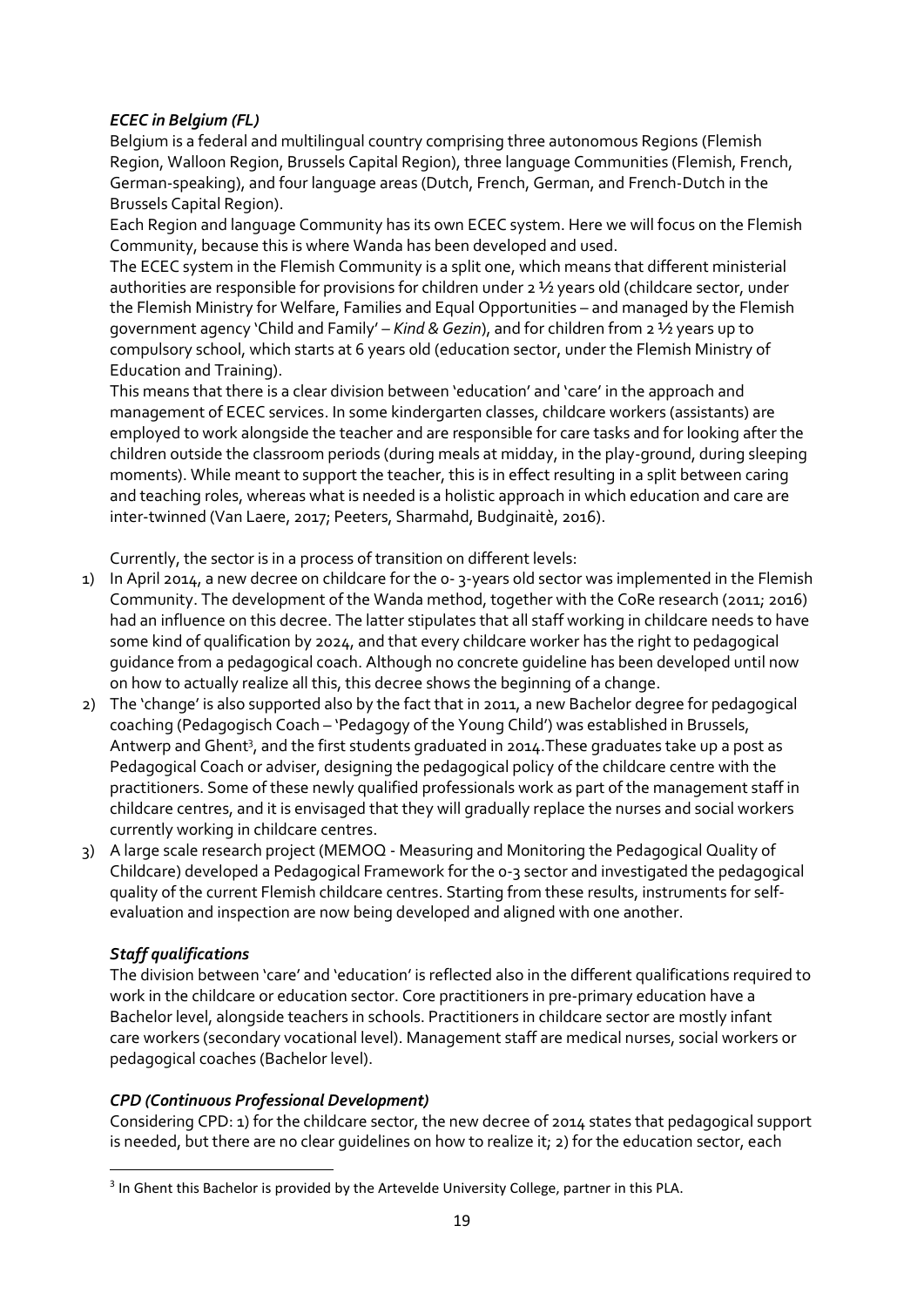#### *ECEC in Belgium (FL)*

Belgium is a federal and multilingual country comprising three autonomous Regions (Flemish Region, Walloon Region, Brussels Capital Region), three language Communities (Flemish, French, German-speaking), and four language areas (Dutch, French, German, and French-Dutch in the Brussels Capital Region).

Each Region and language Community has its own ECEC system. Here we will focus on the Flemish Community, because this is where Wanda has been developed and used.

The ECEC system in the Flemish Community is a split one, which means that different ministerial authorities are responsible for provisions for children under 2 ½ years old (childcare sector, under the Flemish Ministry for Welfare, Families and Equal Opportunities – and managed by the Flemish government agency 'Child and Family' – *Kind & Gezin*), and for children from 2 ½ years up to compulsory school, which starts at 6 years old (education sector, under the Flemish Ministry of Education and Training).

This means that there is a clear division between 'education' and 'care' in the approach and management of ECEC services. In some kindergarten classes, childcare workers (assistants) are employed to work alongside the teacher and are responsible for care tasks and for looking after the children outside the classroom periods (during meals at midday, in the play-ground, during sleeping moments). While meant to support the teacher, this is in effect resulting in a split between caring and teaching roles, whereas what is needed is a holistic approach in which education and care are inter-twinned (Van Laere, 2017; Peeters, Sharmahd, Budginaitè, 2016).

Currently, the sector is in a process of transition on different levels:

- 1) In April 2014, a new decree on childcare for the 0- 3-years old sector was implemented in the Flemish Community. The development of the Wanda method, together with the CoRe research (2011; 2016) had an influence on this decree. The latter stipulates that all staff working in childcare needs to have some kind of qualification by 2024, and that every childcare worker has the right to pedagogical guidance from a pedagogical coach. Although no concrete guideline has been developed until now on how to actually realize all this, this decree shows the beginning of a change.
- 2) The 'change' is also supported also by the fact that in 2011, a new Bachelor degree for pedagogical coaching (Pedagogisch Coach – 'Pedagogy of the Young Child') was established in Brussels, Antwerp and Ghent<sup>3</sup>, and the first students graduated in 2014. These graduates take up a post as Pedagogical Coach or adviser, designing the pedagogical policy of the childcare centre with the practitioners. Some of these newly qualified professionals work as part of the management staff in childcare centres, and it is envisaged that they will gradually replace the nurses and social workers currently working in childcare centres.
- 3) A large scale research project (MEMOQ Measuring and Monitoring the Pedagogical Quality of Childcare) developed a Pedagogical Framework for the 0-3 sector and investigated the pedagogical quality of the current Flemish childcare centres. Starting from these results, instruments for selfevaluation and inspection are now being developed and aligned with one another.

#### *Staff qualifications*

**.** 

The division between 'care' and 'education' is reflected also in the different qualifications required to work in the childcare or education sector. Core practitioners in pre-primary education have a Bachelor level, alongside teachers in schools. Practitioners in childcare sector are mostly infant care workers (secondary vocational level). Management staff are medical nurses, social workers or pedagogical coaches (Bachelor level).

#### *CPD (Continuous Professional Development)*

Considering CPD: 1) for the childcare sector, the new decree of 2014 states that pedagogical support is needed, but there are no clear quidelines on how to realize it;  $2$ ) for the education sector, each

<sup>&</sup>lt;sup>3</sup> In Ghent this Bachelor is provided by the Artevelde University College, partner in this PLA.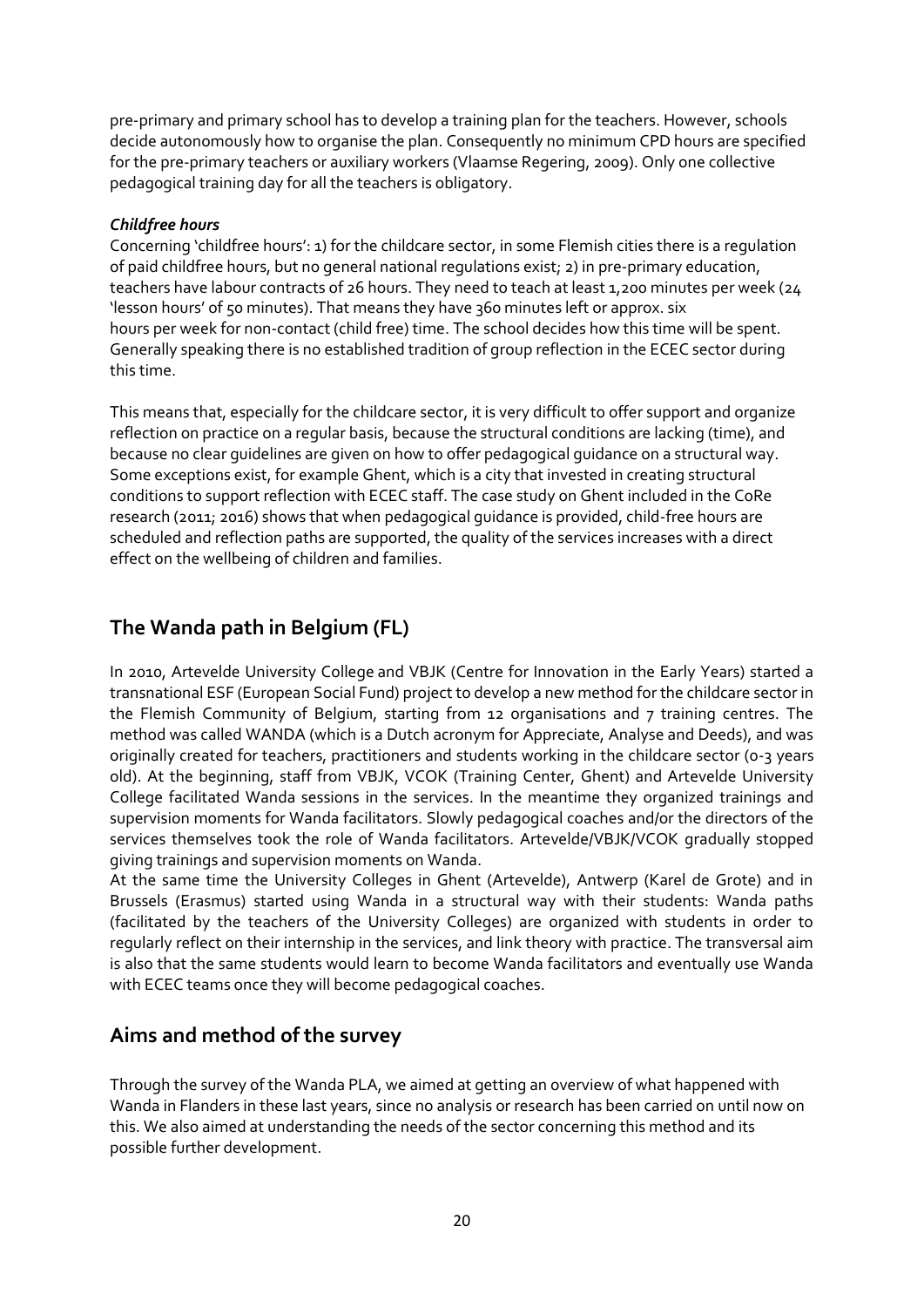pre-primary and primary school has to develop a training plan for the teachers. However, schools decide autonomously how to organise the plan. Consequently no minimum CPD hours are specified for the pre-primary teachers or auxiliary workers (Vlaamse Regering, 2009). Only one collective pedagogical training day for all the teachers is obligatory.

#### *Childfree hours*

Concerning 'childfree hours': 1) for the childcare sector, in some Flemish cities there is a regulation of paid childfree hours, but no general national regulations exist; 2) in pre-primary education, teachers have labour contracts of 26 hours. They need to teach at least 1,200 minutes per week (24 'lesson hours' of 50 minutes). That means they have 360 minutes left or approx. six hours per week for non-contact (child free) time. The school decides how this time will be spent. Generally speaking there is no established tradition of group reflection in the ECEC sector during this time.

This means that, especially for the childcare sector, it is very difficult to offer support and organize reflection on practice on a regular basis, because the structural conditions are lacking (time), and because no clear guidelines are given on how to offer pedagogical guidance on a structural way. Some exceptions exist, for example Ghent, which is a city that invested in creating structural conditions to support reflection with ECEC staff. The case study on Ghent included in the CoRe research (2011; 2016) shows that when pedagogical guidance is provided, child-free hours are scheduled and reflection paths are supported, the quality of the services increases with a direct effect on the wellbeing of children and families.

## **The Wanda path in Belgium (FL)**

In 2010, Artevelde University College and VBJK (Centre for Innovation in the Early Years) started a transnational ESF (European Social Fund) project to develop a new method for the childcare sector in the Flemish Community of Belgium, starting from 12 organisations and 7 training centres. The method was called WANDA (which is a Dutch acronym for Appreciate, Analyse and Deeds), and was originally created for teachers, practitioners and students working in the childcare sector (0-3 years old). At the beginning, staff from VBJK, VCOK (Training Center, Ghent) and Artevelde University College facilitated Wanda sessions in the services. In the meantime they organized trainings and supervision moments for Wanda facilitators. Slowly pedagogical coaches and/or the directors of the services themselves took the role of Wanda facilitators. Artevelde/VBJK/VCOK gradually stopped giving trainings and supervision moments on Wanda.

At the same time the University Colleges in Ghent (Artevelde), Antwerp (Karel de Grote) and in Brussels (Erasmus) started using Wanda in a structural way with their students: Wanda paths (facilitated by the teachers of the University Colleges) are organized with students in order to regularly reflect on their internship in the services, and link theory with practice. The transversal aim is also that the same students would learn to become Wanda facilitators and eventually use Wanda with ECEC teams once they will become pedagogical coaches.

## **Aims and method of the survey**

Through the survey of the Wanda PLA, we aimed at getting an overview of what happened with Wanda in Flanders in these last years, since no analysis or research has been carried on until now on this. We also aimed at understanding the needs of the sector concerning this method and its possible further development.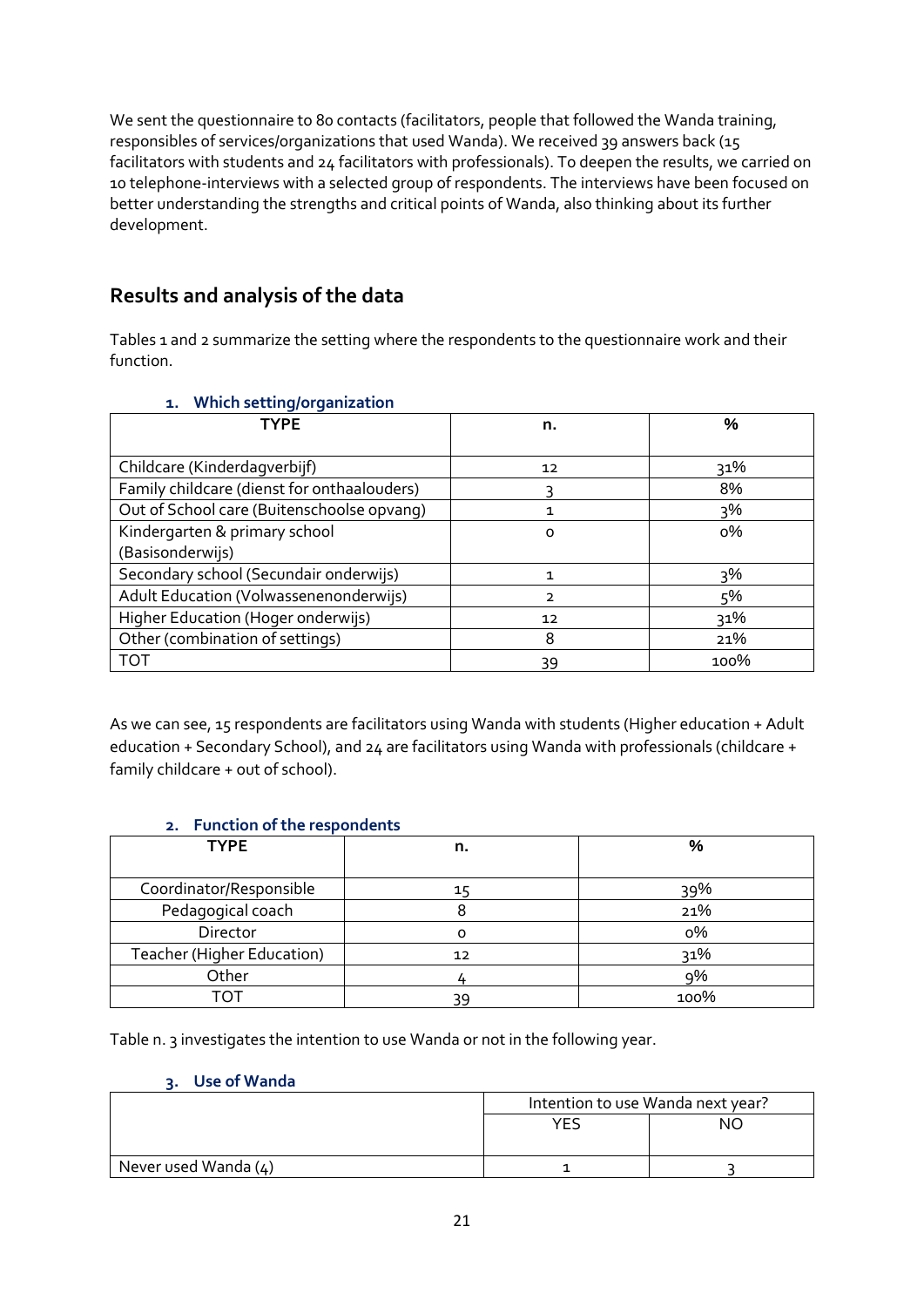We sent the questionnaire to 80 contacts (facilitators, people that followed the Wanda training, responsibles of services/organizations that used Wanda). We received 39 answers back (15 facilitators with students and 24 facilitators with professionals). To deepen the results, we carried on 10 telephone-interviews with a selected group of respondents. The interviews have been focused on better understanding the strengths and critical points of Wanda, also thinking about its further development.

## **Results and analysis of the data**

Tables 1 and 2 summarize the setting where the respondents to the questionnaire work and their function.

| 1. Which setting/organization |  |
|-------------------------------|--|
| TVDE                          |  |

| <b>TYPE</b>                                 | n.             | %     |
|---------------------------------------------|----------------|-------|
|                                             |                |       |
| Childcare (Kinderdagverbijf)                | 12             | 31%   |
| Family childcare (dienst for onthaalouders) |                | 8%    |
| Out of School care (Buitenschoolse opvang)  | 1              | $3\%$ |
| Kindergarten & primary school               | O              | о%    |
| (Basisonderwijs)                            |                |       |
| Secondary school (Secundair onderwijs)      | 1              | 3%    |
| Adult Education (Volwassenenonderwijs)      | $\overline{2}$ | 5%    |
| Higher Education (Hoger onderwijs)          | 12             | 31%   |
| Other (combination of settings)             | 8              | 21%   |
| <b>TOT</b>                                  | 39             | 100%  |

As we can see, 15 respondents are facilitators using Wanda with students (Higher education + Adult education + Secondary School), and 24 are facilitators using Wanda with professionals (childcare + family childcare + out of school).

#### **2. Function of the respondents**

| <b>TYPE</b>                | n. | %    |
|----------------------------|----|------|
|                            |    |      |
| Coordinator/Responsible    | 15 | 39%  |
| Pedagogical coach          |    | 21%  |
| Director                   |    | о%   |
| Teacher (Higher Education) | 12 | 31%  |
| Other                      |    | 9%   |
| ו∩י                        |    | 100% |

Table n. 3 investigates the intention to use Wanda or not in the following year.

#### **3. Use of Wanda**

|                        | Intention to use Wanda next year? |    |
|------------------------|-----------------------------------|----|
|                        | YE.                               | NС |
|                        |                                   |    |
| Never used Wanda $(4)$ |                                   |    |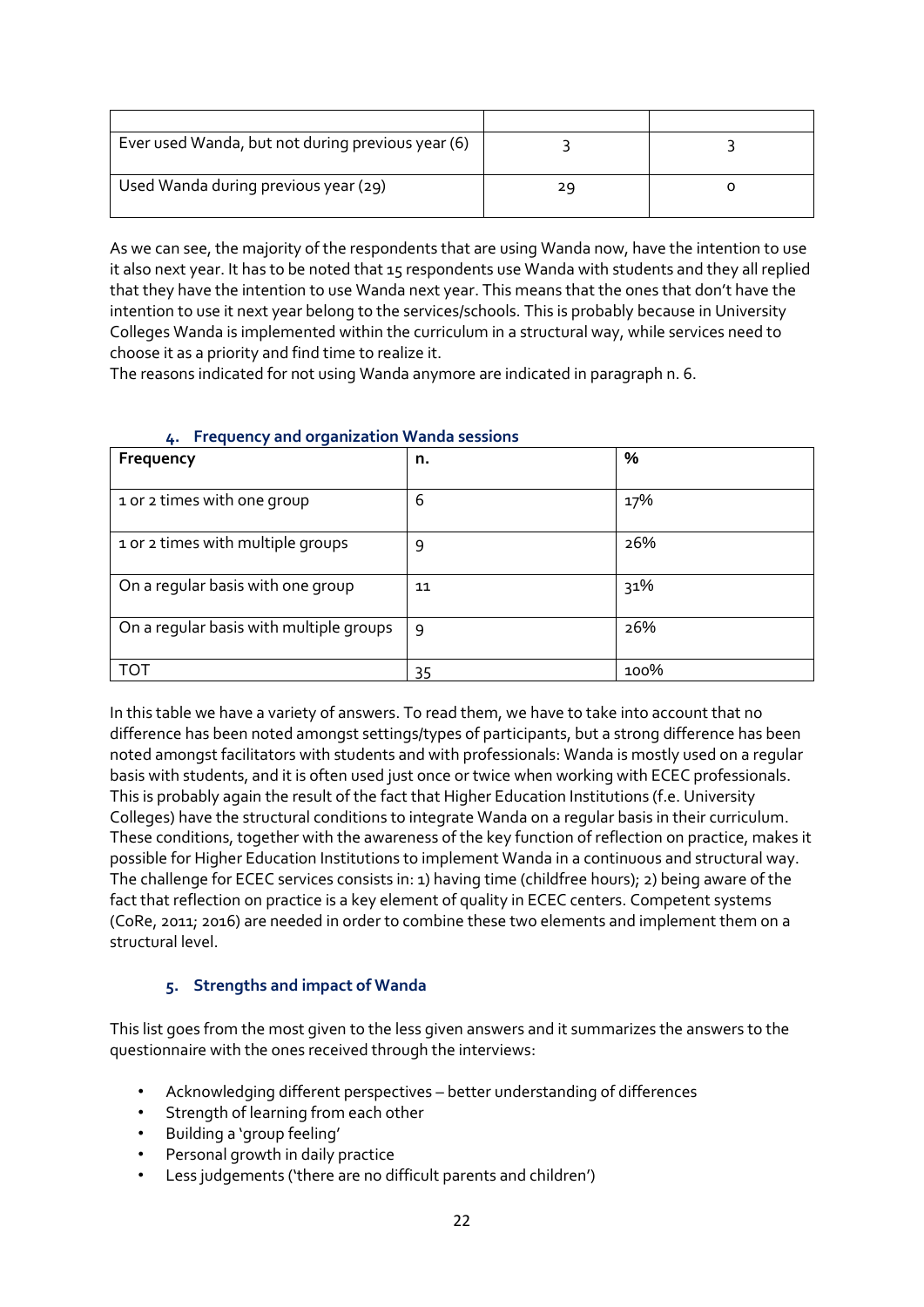| Ever used Wanda, but not during previous year (6) |    |  |
|---------------------------------------------------|----|--|
| Used Wanda during previous year (29)              | 29 |  |

As we can see, the majority of the respondents that are using Wanda now, have the intention to use it also next year. It has to be noted that 15 respondents use Wanda with students and they all replied that they have the intention to use Wanda next year. This means that the ones that don't have the intention to use it next year belong to the services/schools. This is probably because in University Colleges Wanda is implemented within the curriculum in a structural way, while services need to choose it as a priority and find time to realize it.

The reasons indicated for not using Wanda anymore are indicated in paragraph n. 6.

| Frequency                               | n. | %    |
|-----------------------------------------|----|------|
|                                         |    |      |
| 1 or 2 times with one group             | 6  | 17%  |
| 1 or 2 times with multiple groups       | 9  | 26%  |
| On a regular basis with one group       | 11 | 31%  |
| On a regular basis with multiple groups | 9  | 26%  |
| TO T                                    | 35 | 100% |

#### **4. Frequency and organization Wanda sessions**

In this table we have a variety of answers. To read them, we have to take into account that no difference has been noted amongst settings/types of participants, but a strong difference has been noted amongst facilitators with students and with professionals: Wanda is mostly used on a regular basis with students, and it is often used just once or twice when working with ECEC professionals. This is probably again the result of the fact that Higher Education Institutions (f.e. University Colleges) have the structural conditions to integrate Wanda on a regular basis in their curriculum. These conditions, together with the awareness of the key function of reflection on practice, makes it possible for Higher Education Institutions to implement Wanda in a continuous and structural way. The challenge for ECEC services consists in: 1) having time (childfree hours); 2) being aware of the fact that reflection on practice is a key element of quality in ECEC centers. Competent systems (CoRe, 2011; 2016) are needed in order to combine these two elements and implement them on a structural level.

#### **5. Strengths and impact of Wanda**

This list goes from the most given to the less given answers and it summarizes the answers to the questionnaire with the ones received through the interviews:

- Acknowledging different perspectives better understanding of differences
- Strength of learning from each other
- Building a 'group feeling'
- Personal growth in daily practice
- Less judgements ('there are no difficult parents and children')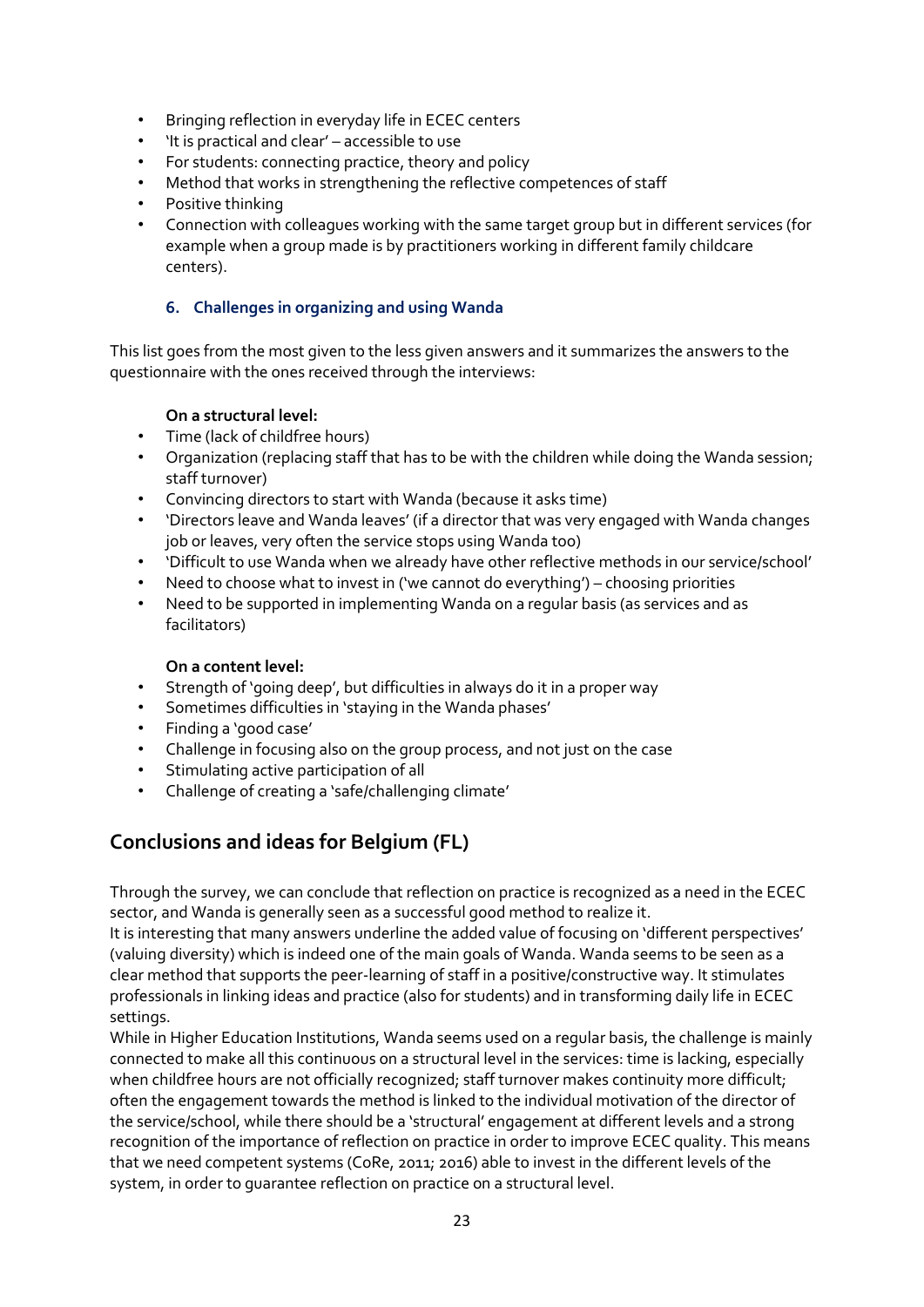- Bringing reflection in everyday life in ECEC centers
- 'It is practical and clear' accessible to use
- For students: connecting practice, theory and policy
- Method that works in strengthening the reflective competences of staff
- Positive thinking
- Connection with colleagues working with the same target group but in different services (for example when a group made is by practitioners working in different family childcare centers).

#### **6. Challenges in organizing and using Wanda**

This list goes from the most given to the less given answers and it summarizes the answers to the questionnaire with the ones received through the interviews:

#### **On a structural level:**

- Time (lack of childfree hours)
- Organization (replacing staff that has to be with the children while doing the Wanda session; staff turnover)
- Convincing directors to start with Wanda (because it asks time)
- 'Directors leave and Wanda leaves' (if a director that was very engaged with Wanda changes job or leaves, very often the service stops using Wanda too)
- 'Difficult to use Wanda when we already have other reflective methods in our service/school'
- Need to choose what to invest in ('we cannot do everything') choosing priorities
- Need to be supported in implementing Wanda on a regular basis (as services and as facilitators)

#### **On a content level:**

- Strength of 'going deep', but difficulties in always do it in a proper way
- Sometimes difficulties in 'staying in the Wanda phases'
- Finding a 'good case'
- Challenge in focusing also on the group process, and not just on the case
- Stimulating active participation of all
- Challenge of creating a 'safe/challenging climate'

## **Conclusions and ideas for Belgium (FL)**

Through the survey, we can conclude that reflection on practice is recognized as a need in the ECEC sector, and Wanda is generally seen as a successful good method to realize it.

It is interesting that many answers underline the added value of focusing on 'different perspectives' (valuing diversity) which is indeed one of the main goals of Wanda. Wanda seems to be seen as a clear method that supports the peer-learning of staff in a positive/constructive way. It stimulates professionals in linking ideas and practice (also for students) and in transforming daily life in ECEC settings.

While in Higher Education Institutions, Wanda seems used on a regular basis, the challenge is mainly connected to make all this continuous on a structural level in the services: time is lacking, especially when childfree hours are not officially recognized; staff turnover makes continuity more difficult; often the engagement towards the method is linked to the individual motivation of the director of the service/school, while there should be a 'structural' engagement at different levels and a strong recognition of the importance of reflection on practice in order to improve ECEC quality. This means that we need competent systems (CoRe, 2011; 2016) able to invest in the different levels of the system, in order to guarantee reflection on practice on a structural level.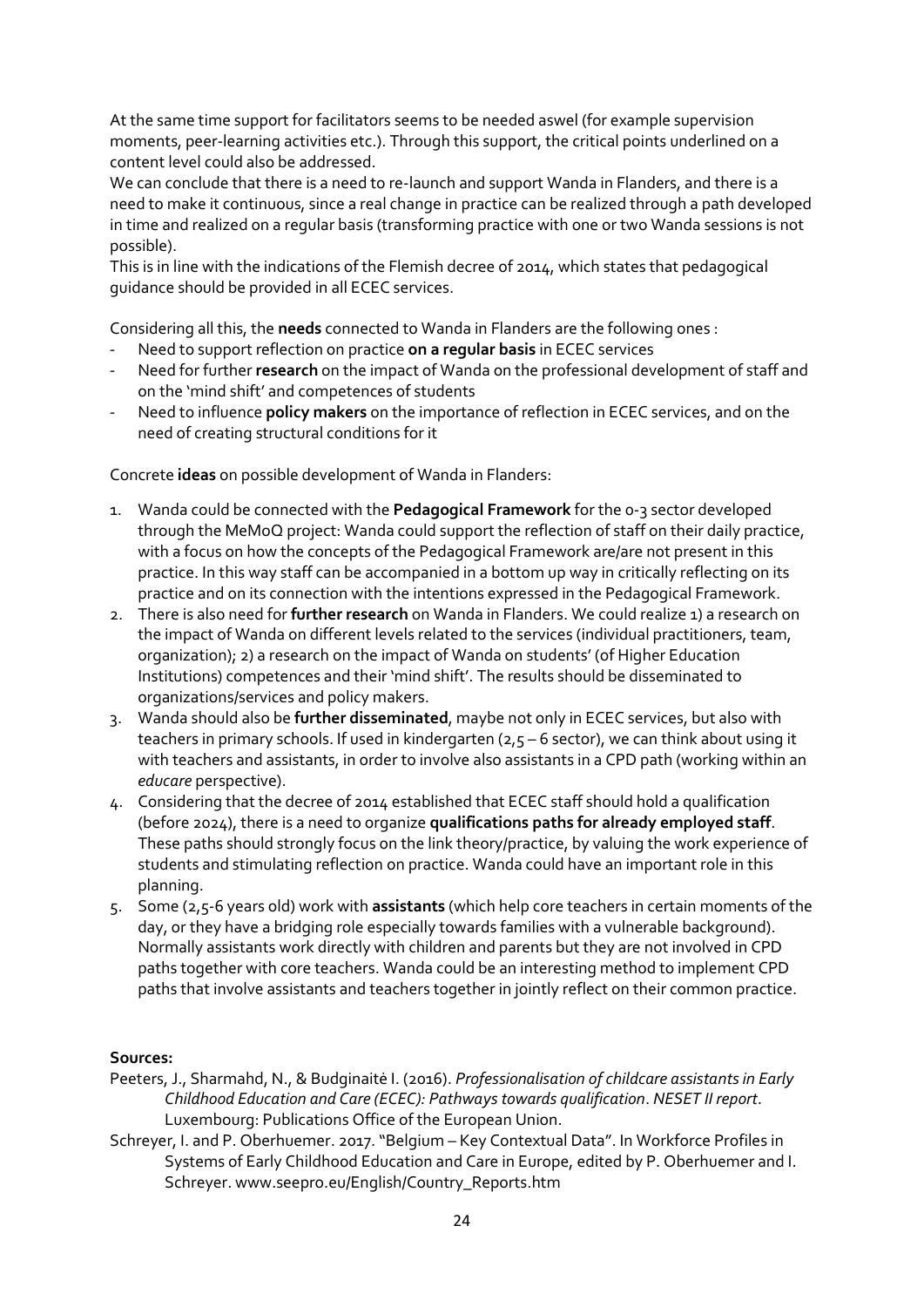At the same time support for facilitators seems to be needed aswel (for example supervision moments, peer-learning activities etc.). Through this support, the critical points underlined on a content level could also be addressed.

We can conclude that there is a need to re-launch and support Wanda in Flanders, and there is a need to make it continuous, since a real change in practice can be realized through a path developed in time and realized on a regular basis (transforming practice with one or two Wanda sessions is not possible).

This is in line with the indications of the Flemish decree of 2014, which states that pedagogical guidance should be provided in all ECEC services.

Considering all this, the **needs** connected to Wanda in Flanders are the following ones :

- Need to support reflection on practice **on a regular basis** in ECEC services
- Need for further **research** on the impact of Wanda on the professional development of staff and on the 'mind shift' and competences of students
- Need to influence **policy makers** on the importance of reflection in ECEC services, and on the need of creating structural conditions for it

Concrete **ideas** on possible development of Wanda in Flanders:

- 1. Wanda could be connected with the **Pedagogical Framework** for the 0-3 sector developed through the MeMoQ project: Wanda could support the reflection of staff on their daily practice, with a focus on how the concepts of the Pedagogical Framework are/are not present in this practice. In this way staff can be accompanied in a bottom up way in critically reflecting on its practice and on its connection with the intentions expressed in the Pedagogical Framework.
- 2. There is also need for **further research** on Wanda in Flanders. We could realize 1) a research on the impact of Wanda on different levels related to the services (individual practitioners, team, organization); 2) a research on the impact of Wanda on students' (of Higher Education Institutions) competences and their 'mind shift'. The results should be disseminated to organizations/services and policy makers.
- 3. Wanda should also be **further disseminated**, maybe not only in ECEC services, but also with teachers in primary schools. If used in kindergarten (2,5 - 6 sector), we can think about using it with teachers and assistants, in order to involve also assistants in a CPD path (working within an *educare* perspective).
- 4. Considering that the decree of 2014 established that ECEC staff should hold a qualification (before 2024), there is a need to organize **qualifications paths for already employed staff**. These paths should strongly focus on the link theory/practice, by valuing the work experience of students and stimulating reflection on practice. Wanda could have an important role in this planning.
- 5. Some (2,5-6 years old) work with **assistants** (which help core teachers in certain moments of the day, or they have a bridging role especially towards families with a vulnerable background). Normally assistants work directly with children and parents but they are not involved in CPD paths together with core teachers. Wanda could be an interesting method to implement CPD paths that involve assistants and teachers together in jointly reflect on their common practice.

#### **Sources:**

- Peeters, J., Sharmahd, N., & Budginaitė I. (2016). *Professionalisation of childcare assistants in Early Childhood Education and Care (ECEC): Pathways towards qualification*. *NESET II report*. Luxembourg: Publications Office of the European Union.
- Schreyer, I. and P. Oberhuemer. 2017. "Belgium Key Contextual Data". In Workforce Profiles in Systems of Early Childhood Education and Care in Europe, edited by P. Oberhuemer and I. Schreyer. www.seepro.eu/English/Country\_Reports.htm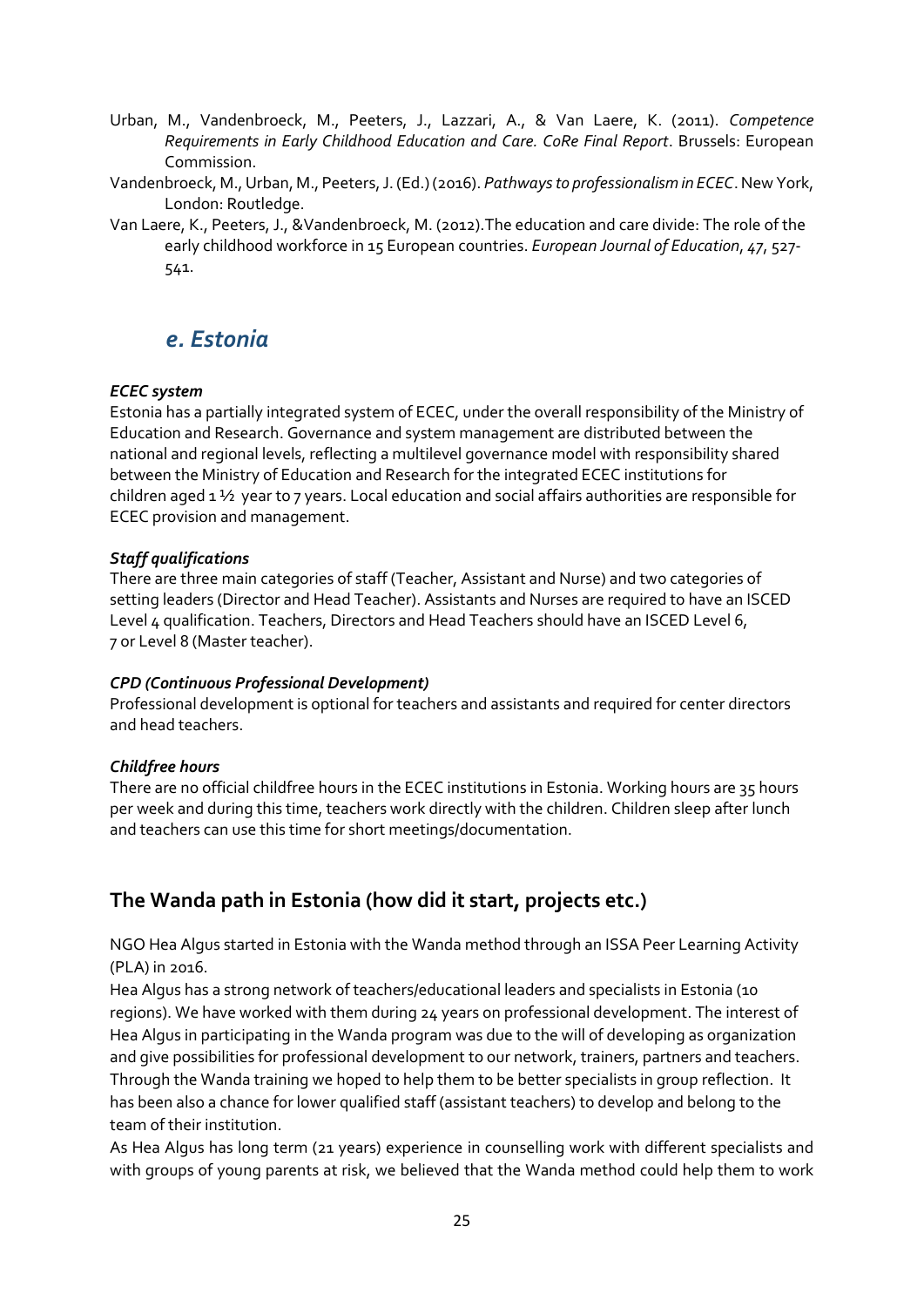- Urban, M., Vandenbroeck, M., Peeters, J., Lazzari, A., & Van Laere, K. (2011). *Competence Requirements in Early Childhood Education and Care. CoRe Final Report*. Brussels: European Commission.
- Vandenbroeck, M., Urban, M., Peeters, J. (Ed.) (2016). *Pathways to professionalism in ECEC*. New York, London: Routledge.
- Van Laere, K., Peeters, J., &Vandenbroeck, M. (2012).The education and care divide: The role of the early childhood workforce in 15 European countries. *European Journal of Education*, *47*, 527- 541.

## *e. Estonia*

#### *ECEC system*

Estonia has a partially integrated system of ECEC, under the overall responsibility of the Ministry of Education and Research. Governance and system management are distributed between the national and regional levels, reflecting a multilevel governance model with responsibility shared between the Ministry of Education and Research for the integrated ECEC institutions for children aged 1 ½ year to 7 years. Local education and social affairs authorities are responsible for ECEC provision and management.

#### *Staff qualifications*

There are three main categories of staff (Teacher, Assistant and Nurse) and two categories of setting leaders (Director and Head Teacher). Assistants and Nurses are required to have an ISCED Level 4 qualification. Teachers, Directors and Head Teachers should have an ISCED Level 6, 7 or Level 8 (Master teacher).

#### *CPD (Continuous Professional Development)*

Professional development is optional for teachers and assistants and required for center directors and head teachers.

#### *Childfree hours*

There are no official childfree hours in the ECEC institutions in Estonia. Working hours are 35 hours per week and during this time, teachers work directly with the children. Children sleep after lunch and teachers can use this time for short meetings/documentation.

## **The Wanda path in Estonia (how did it start, projects etc.)**

NGO Hea Algus started in Estonia with the Wanda method through an ISSA Peer Learning Activity (PLA) in 2016.

Hea Algus has a strong network of teachers/educational leaders and specialists in Estonia (10 regions). We have worked with them during 24 years on professional development. The interest of Hea Algus in participating in the Wanda program was due to the will of developing as organization and give possibilities for professional development to our network, trainers, partners and teachers. Through the Wanda training we hoped to help them to be better specialists in group reflection. It has been also a chance for lower qualified staff (assistant teachers) to develop and belong to the team of their institution.

As Hea Algus has long term (21 years) experience in counselling work with different specialists and with groups of young parents at risk, we believed that the Wanda method could help them to work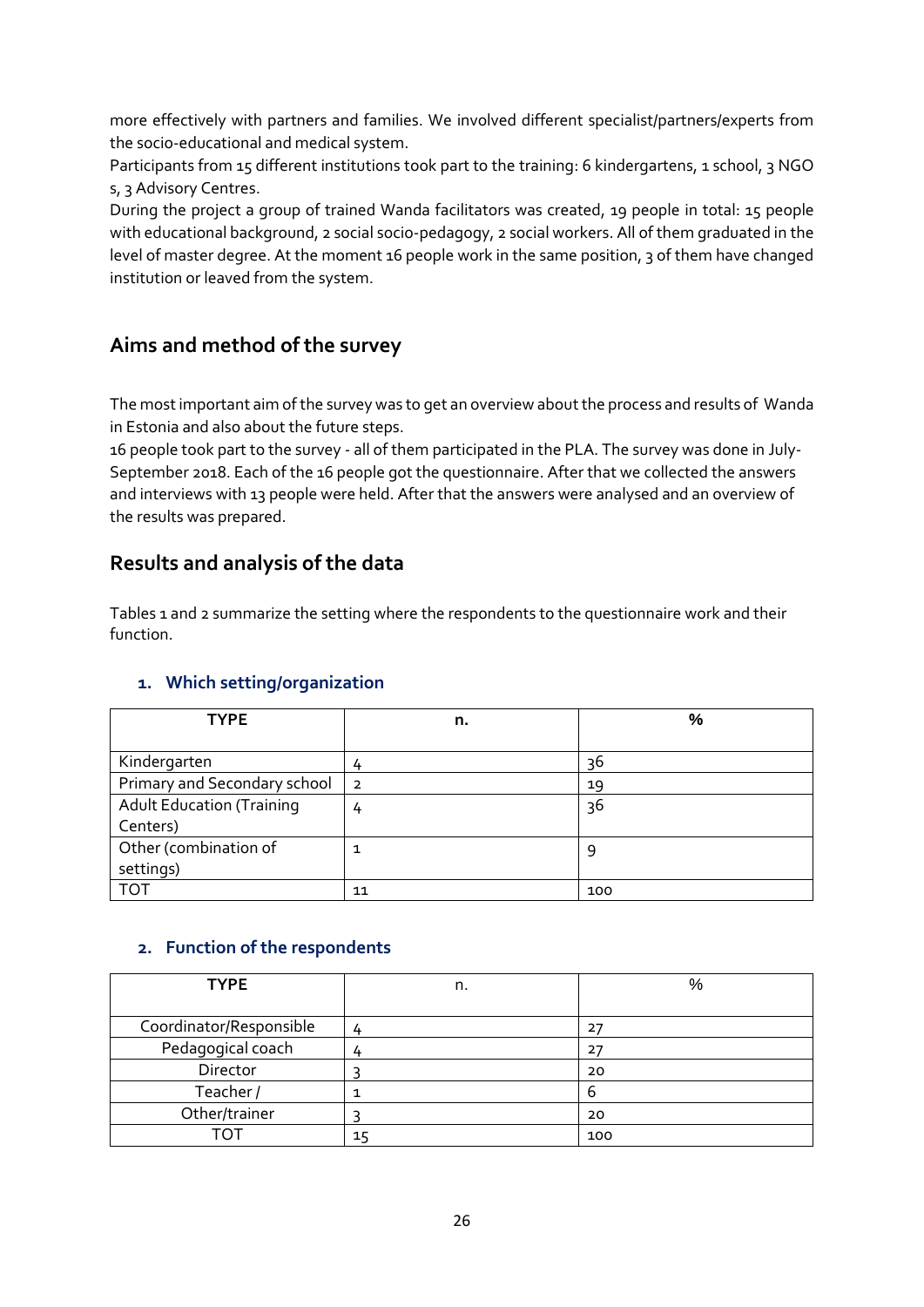more effectively with partners and families. We involved different specialist/partners/experts from the socio-educational and medical system.

Participants from 15 different institutions took part to the training: 6 kindergartens, 1 school, 3 NGO s, 3 Advisory Centres.

During the project a group of trained Wanda facilitators was created, 19 people in total: 15 people with educational background, 2 social socio-pedagogy, 2 social workers. All of them graduated in the level of master degree. At the moment 16 people work in the same position, 3 of them have changed institution or leaved from the system.

## **Aims and method of the survey**

The most important aim of the survey was to get an overview about the process and results of Wanda in Estonia and also about the future steps.

16 people took part to the survey - all of them participated in the PLA. The survey was done in July-September 2018. Each of the 16 people got the questionnaire. After that we collected the answers and interviews with 13 people were held. After that the answers were analysed and an overview of the results was prepared.

### **Results and analysis of the data**

Tables 1 and 2 summarize the setting where the respondents to the questionnaire work and their function.

#### **1. Which setting/organization**

| <b>TYPE</b>                      | n.             | %   |
|----------------------------------|----------------|-----|
|                                  |                |     |
| Kindergarten                     | 4              | 36  |
| Primary and Secondary school     | $\overline{2}$ | 19  |
| <b>Adult Education (Training</b> | 4              | 36  |
| Centers)                         |                |     |
| Other (combination of            |                | 9   |
| settings)                        |                |     |
| <b>TOT</b>                       | 11             | 100 |

#### **2. Function of the respondents**

| <b>TYPE</b>             | n. | %   |
|-------------------------|----|-----|
|                         |    |     |
| Coordinator/Responsible | 4  |     |
| Pedagogical coach       |    | 27  |
| Director                |    | 20  |
| Teacher/                |    | b   |
| Other/trainer           |    | 20  |
| TOT                     | 15 | 100 |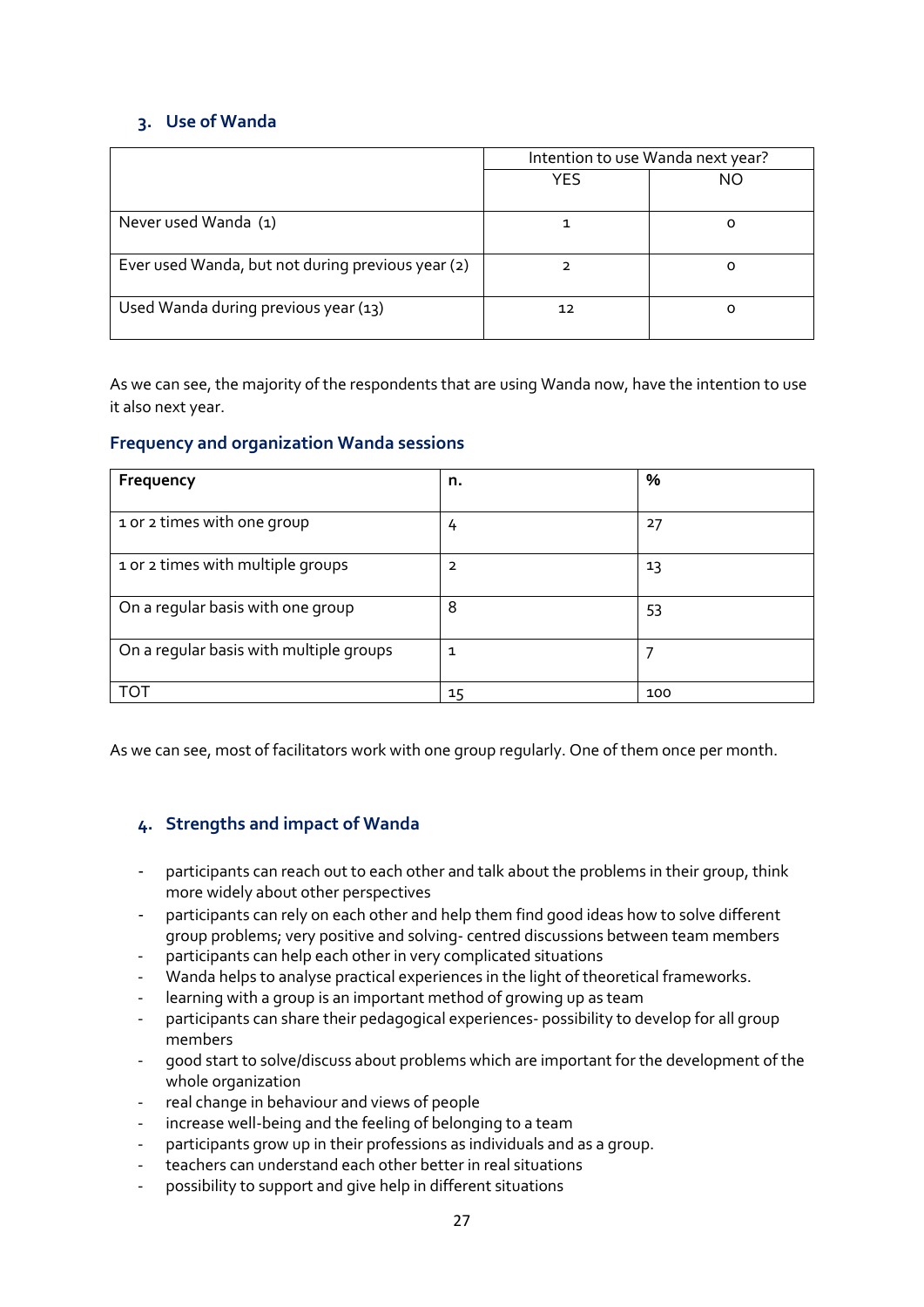#### **3. Use of Wanda**

|                                                   | Intention to use Wanda next year? |    |
|---------------------------------------------------|-----------------------------------|----|
|                                                   | <b>YES</b>                        | NO |
| Never used Wanda (1)                              |                                   |    |
| Ever used Wanda, but not during previous year (2) |                                   |    |
| Used Wanda during previous year (13)              | 12                                |    |

As we can see, the majority of the respondents that are using Wanda now, have the intention to use it also next year.

#### **Frequency and organization Wanda sessions**

| Frequency                               | n. | %   |
|-----------------------------------------|----|-----|
| 1 or 2 times with one group             | 4  | 27  |
| 1 or 2 times with multiple groups       | 2  | 13  |
| On a regular basis with one group       | 8  | 53  |
| On a regular basis with multiple groups | 1  |     |
|                                         | 15 | 100 |

As we can see, most of facilitators work with one group regularly. One of them once per month.

#### **4. Strengths and impact of Wanda**

- participants can reach out to each other and talk about the problems in their group, think more widely about other perspectives
- participants can rely on each other and help them find good ideas how to solve different group problems; very positive and solving- centred discussions between team members
- participants can help each other in very complicated situations
- Wanda helps to analyse practical experiences in the light of theoretical frameworks.
- learning with a group is an important method of growing up as team
- participants can share their pedagogical experiences- possibility to develop for all group members
- good start to solve/discuss about problems which are important for the development of the whole organization
- real change in behaviour and views of people
- increase well-being and the feeling of belonging to a team
- participants grow up in their professions as individuals and as a group.
- teachers can understand each other better in real situations
- possibility to support and give help in different situations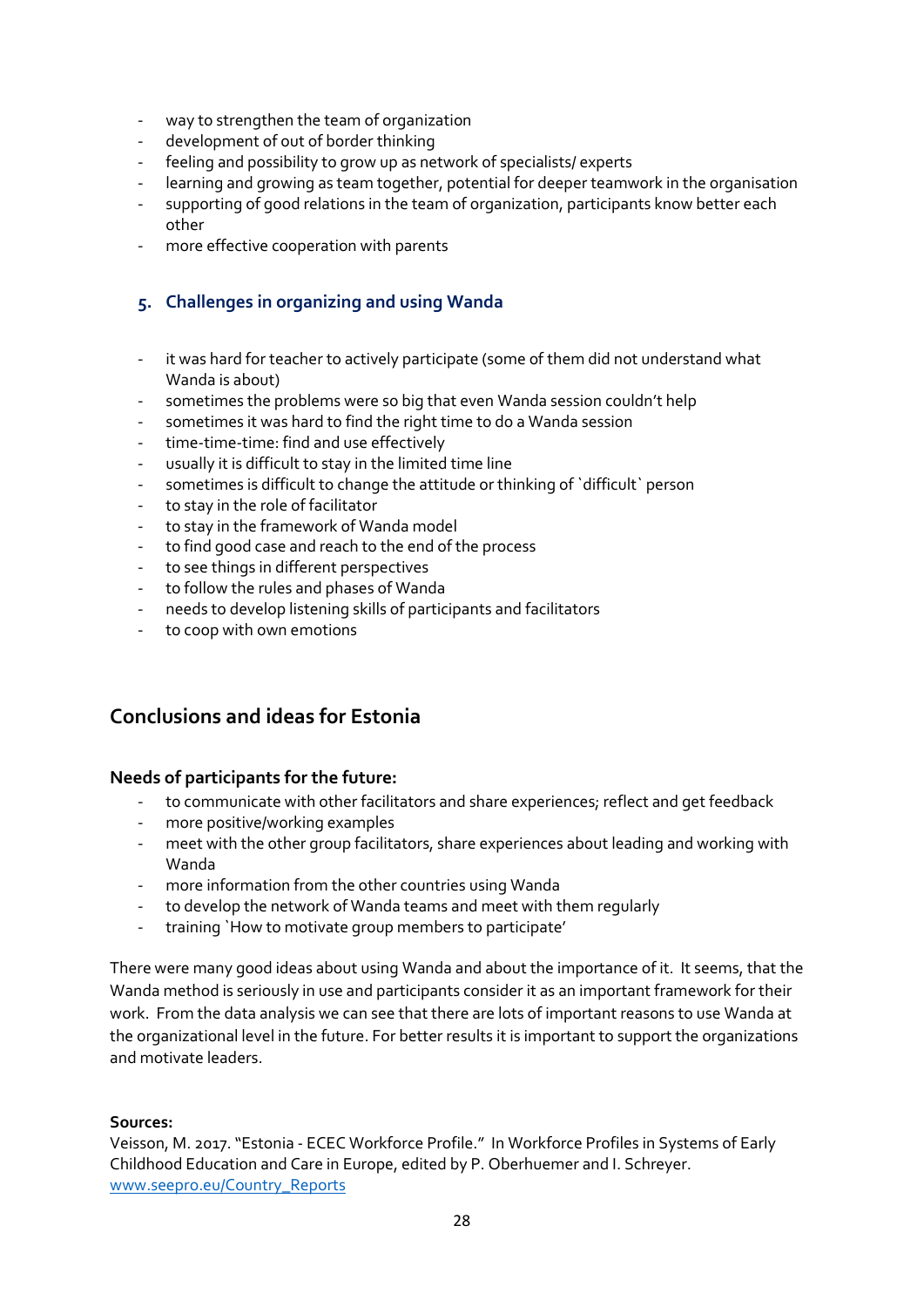- way to strengthen the team of organization
- development of out of border thinking
- feeling and possibility to grow up as network of specialists/ experts
- learning and growing as team together, potential for deeper teamwork in the organisation
- supporting of good relations in the team of organization, participants know better each other
- more effective cooperation with parents

#### **5. Challenges in organizing and using Wanda**

- it was hard for teacher to actively participate (some of them did not understand what Wanda is about)
- sometimes the problems were so big that even Wanda session couldn't help
- sometimes it was hard to find the right time to do a Wanda session
- time-time-time: find and use effectively
- usually it is difficult to stay in the limited time line
- sometimes is difficult to change the attitude or thinking of `difficult` person
- to stay in the role of facilitator
- to stay in the framework of Wanda model
- to find good case and reach to the end of the process
- to see things in different perspectives
- to follow the rules and phases of Wanda
- needs to develop listening skills of participants and facilitators
- to coop with own emotions

### **Conclusions and ideas for Estonia**

#### **Needs of participants for the future:**

- to communicate with other facilitators and share experiences; reflect and get feedback
- more positive/working examples
- meet with the other group facilitators, share experiences about leading and working with Wanda
- more information from the other countries using Wanda
- to develop the network of Wanda teams and meet with them regularly
- training `How to motivate group members to participate'

There were many good ideas about using Wanda and about the importance of it. It seems, that the Wanda method is seriously in use and participants consider it as an important framework for their work. From the data analysis we can see that there are lots of important reasons to use Wanda at the organizational level in the future. For better results it is important to support the organizations and motivate leaders.

#### **Sources:**

Veisson, M. 2017. "Estonia - ECEC Workforce Profile." In Workforce Profiles in Systems of Early Childhood Education and Care in Europe, edited by P. Oberhuemer and I. Schreyer. [www.seepro.eu/Country\\_Reports](http://www.seepro.eu/Country_Reports)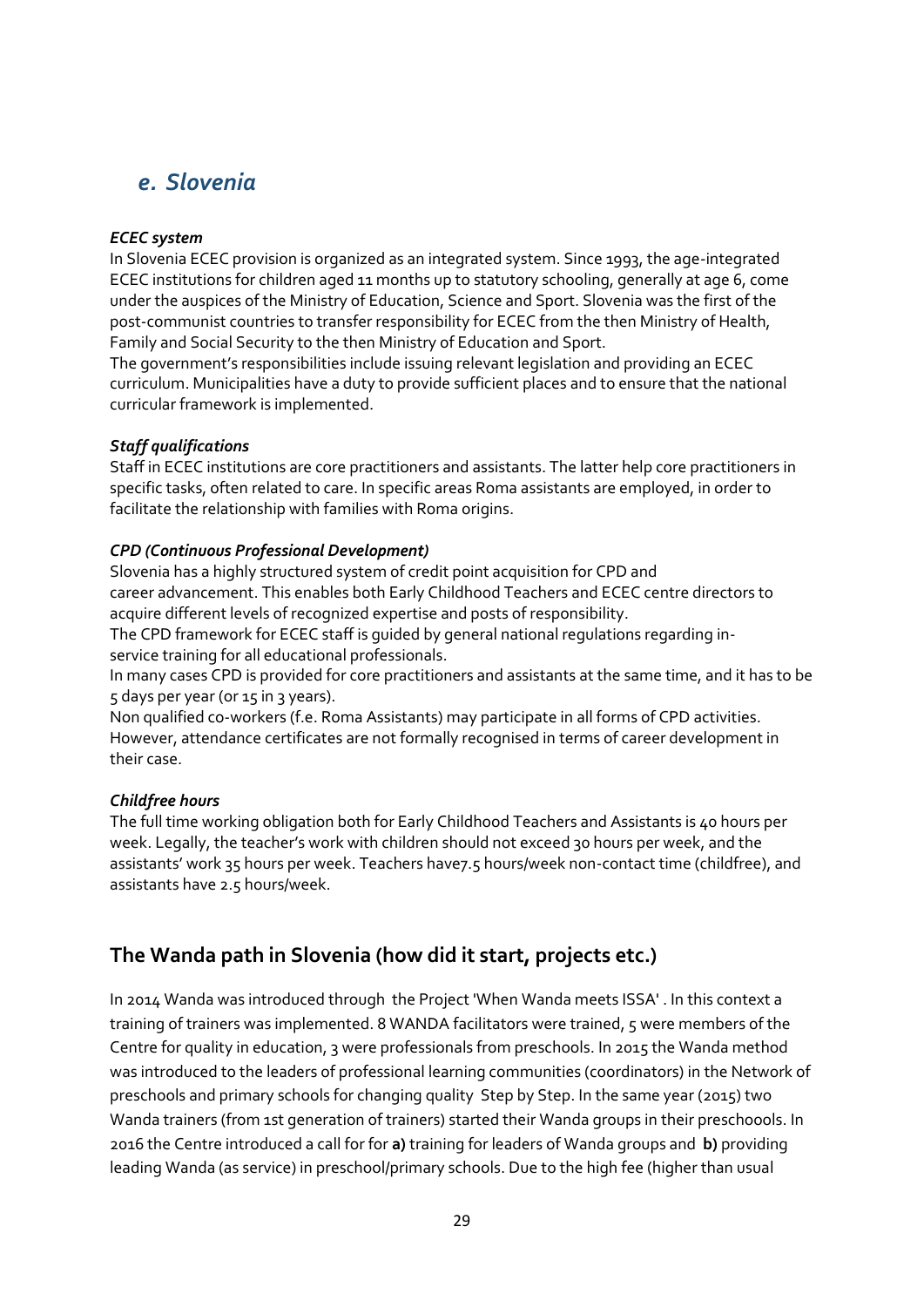## *e. Slovenia*

#### *ECEC system*

In Slovenia ECEC provision is organized as an integrated system. Since 1993, the age-integrated ECEC institutions for children aged 11 months up to statutory schooling, generally at age 6, come under the auspices of the Ministry of Education, Science and Sport. Slovenia was the first of the post-communist countries to transfer responsibility for ECEC from the then Ministry of Health, Family and Social Security to the then Ministry of Education and Sport.

The government's responsibilities include issuing relevant legislation and providing an ECEC curriculum. Municipalities have a duty to provide sufficient places and to ensure that the national curricular framework is implemented.

#### *Staff qualifications*

Staff in ECEC institutions are core practitioners and assistants. The latter help core practitioners in specific tasks, often related to care. In specific areas Roma assistants are employed, in order to facilitate the relationship with families with Roma origins.

#### *CPD (Continuous Professional Development)*

Slovenia has a highly structured system of credit point acquisition for CPD and career advancement. This enables both Early Childhood Teachers and ECEC centre directors to acquire different levels of recognized expertise and posts of responsibility.

The CPD framework for ECEC staff is guided by general national regulations regarding inservice training for all educational professionals.

In many cases CPD is provided for core practitioners and assistants at the same time, and it has to be 5 days per year (or 15 in 3 years).

Non qualified co-workers (f.e. Roma Assistants) may participate in all forms of CPD activities. However, attendance certificates are not formally recognised in terms of career development in their case.

#### *Childfree hours*

The full time working obligation both for Early Childhood Teachers and Assistants is 40 hours per week. Legally, the teacher's work with children should not exceed 30 hours per week, and the assistants' work 35 hours per week. Teachers have7.5 hours/week non-contact time (childfree), and assistants have 2.5 hours/week.

## **The Wanda path in Slovenia (how did it start, projects etc.)**

In 2014 Wanda was introduced through the Project 'When Wanda meets ISSA' . In this context a training of trainers was implemented. 8 WANDA facilitators were trained, 5 were members of the Centre for quality in education, 3 were professionals from preschools. In 2015 the Wanda method was introduced to the leaders of professional learning communities (coordinators) in the Network of preschools and primary schools for changing quality Step by Step. In the same year (2015) two Wanda trainers (from 1st generation of trainers) started their Wanda groups in their preschoools. In 2016 the Centre introduced a call for for **a)** training for leaders of Wanda groups and **b)** providing leading Wanda (as service) in preschool/primary schools. Due to the high fee (higher than usual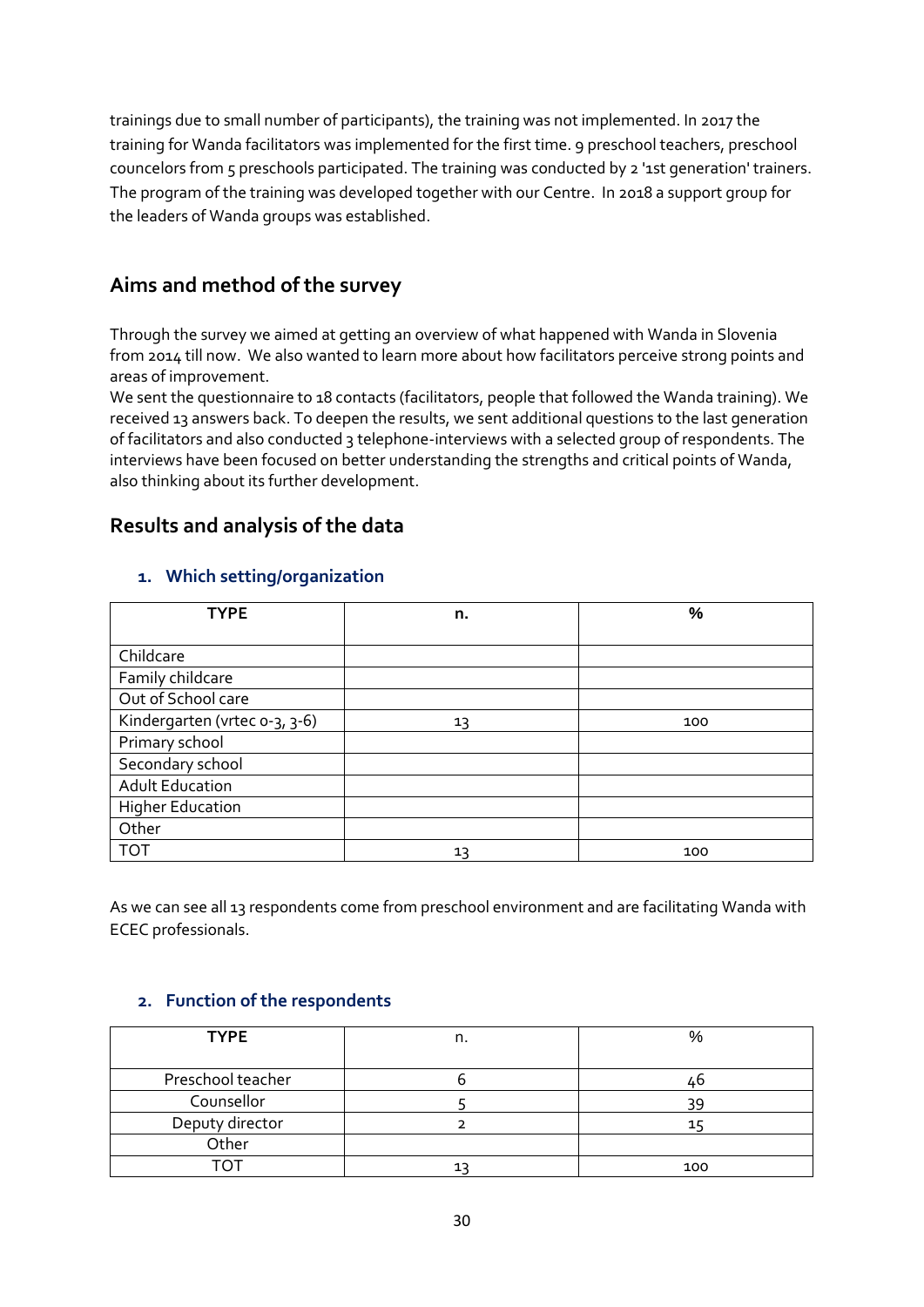trainings due to small number of participants), the training was not implemented. In 2017 the training for Wanda facilitators was implemented for the first time. 9 preschool teachers, preschool councelors from 5 preschools participated. The training was conducted by 2 '1st generation' trainers. The program of the training was developed together with our Centre. In 2018 a support group for the leaders of Wanda groups was established.

## **Aims and method of the survey**

Through the survey we aimed at getting an overview of what happened with Wanda in Slovenia from 2014 till now. We also wanted to learn more about how facilitators perceive strong points and areas of improvement.

We sent the questionnaire to 18 contacts (facilitators, people that followed the Wanda training). We received 13 answers back. To deepen the results, we sent additional questions to the last generation of facilitators and also conducted 3 telephone-interviews with a selected group of respondents. The interviews have been focused on better understanding the strengths and critical points of Wanda, also thinking about its further development.

### **Results and analysis of the data**

#### **1. Which setting/organization**

| <b>TYPE</b>                   | n. | %   |
|-------------------------------|----|-----|
|                               |    |     |
| Childcare                     |    |     |
| Family childcare              |    |     |
| Out of School care            |    |     |
| Kindergarten (vrtec 0-3, 3-6) | 13 | 100 |
| Primary school                |    |     |
| Secondary school              |    |     |
| <b>Adult Education</b>        |    |     |
| <b>Higher Education</b>       |    |     |
| Other                         |    |     |
| <b>TOT</b>                    | 13 | 100 |

As we can see all 13 respondents come from preschool environment and are facilitating Wanda with ECEC professionals.

#### **2. Function of the respondents**

| <b>TYPE</b>       | n. | $\%$ |
|-------------------|----|------|
|                   |    |      |
| Preschool teacher |    | ٬۵   |
| Counsellor        |    | 39   |
| Deputy director   |    |      |
| Other             |    |      |
|                   |    | 100  |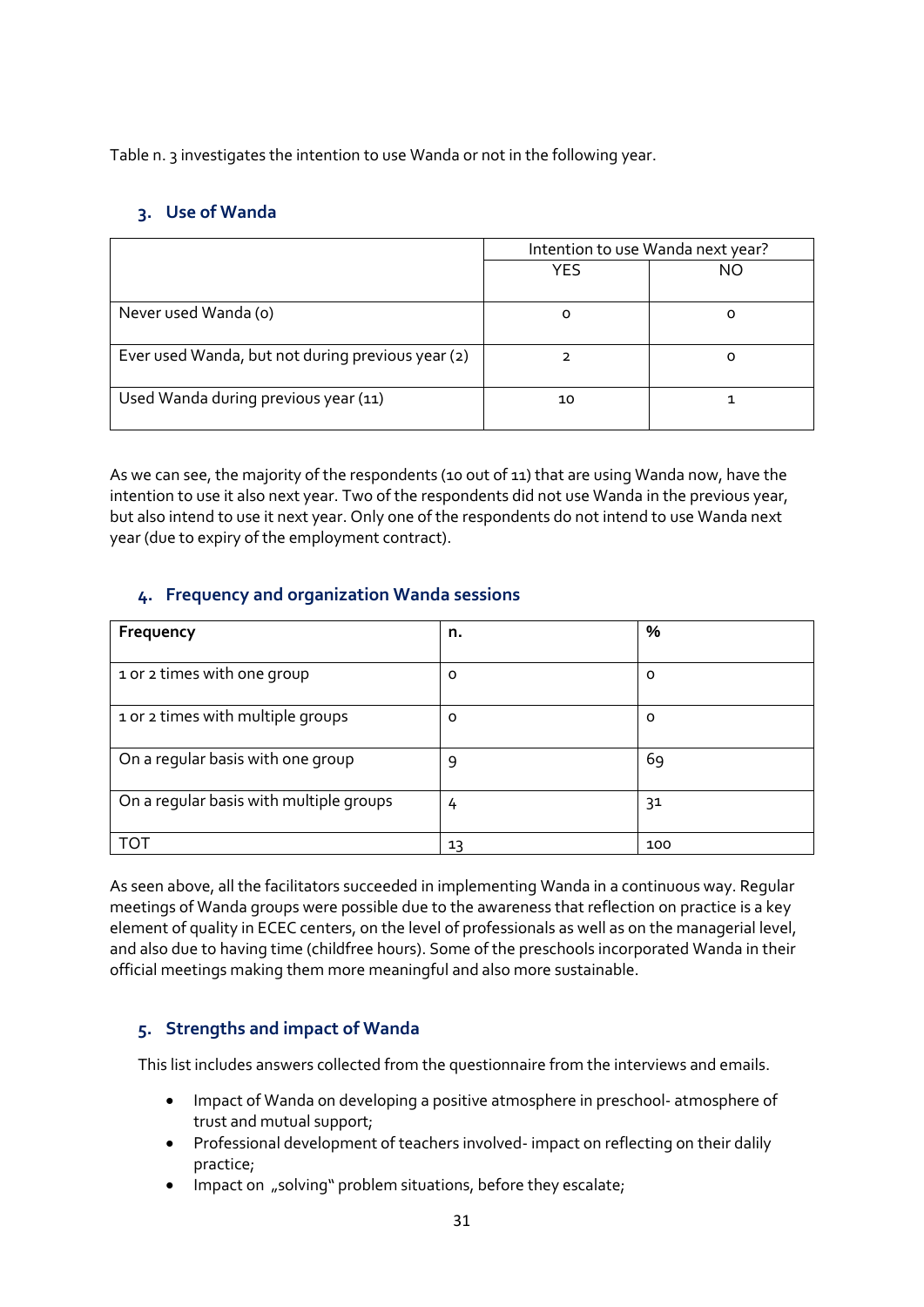Table n. 3 investigates the intention to use Wanda or not in the following year.

#### **3. Use of Wanda**

|                                                   | Intention to use Wanda next year? |    |
|---------------------------------------------------|-----------------------------------|----|
|                                                   | YES                               | NO |
| Never used Wanda (o)                              |                                   |    |
| Ever used Wanda, but not during previous year (2) |                                   |    |
| Used Wanda during previous year (11)              | 10                                |    |

As we can see, the majority of the respondents (10 out of 11) that are using Wanda now, have the intention to use it also next year. Two of the respondents did not use Wanda in the previous year, but also intend to use it next year. Only one of the respondents do not intend to use Wanda next year (due to expiry of the employment contract).

#### **4. Frequency and organization Wanda sessions**

| Frequency                               | n. | %   |
|-----------------------------------------|----|-----|
| 1 or 2 times with one group             | O  | O   |
| 1 or 2 times with multiple groups       | O  | O   |
| On a regular basis with one group       | 9  | 69  |
| On a regular basis with multiple groups | 4  | 31  |
| וחד                                     | 13 | 100 |

As seen above, all the facilitators succeeded in implementing Wanda in a continuous way. Regular meetings of Wanda groups were possible due to the awareness that reflection on practice is a key element of quality in ECEC centers, on the level of professionals as well as on the managerial level, and also due to having time (childfree hours). Some of the preschools incorporated Wanda in their official meetings making them more meaningful and also more sustainable.

#### **5. Strengths and impact of Wanda**

This list includes answers collected from the questionnaire from the interviews and emails.

- Impact of Wanda on developing a positive atmosphere in preschool- atmosphere of trust and mutual support;
- Professional development of teachers involved- impact on reflecting on their dalily practice;
- Impact on "solving" problem situations, before they escalate;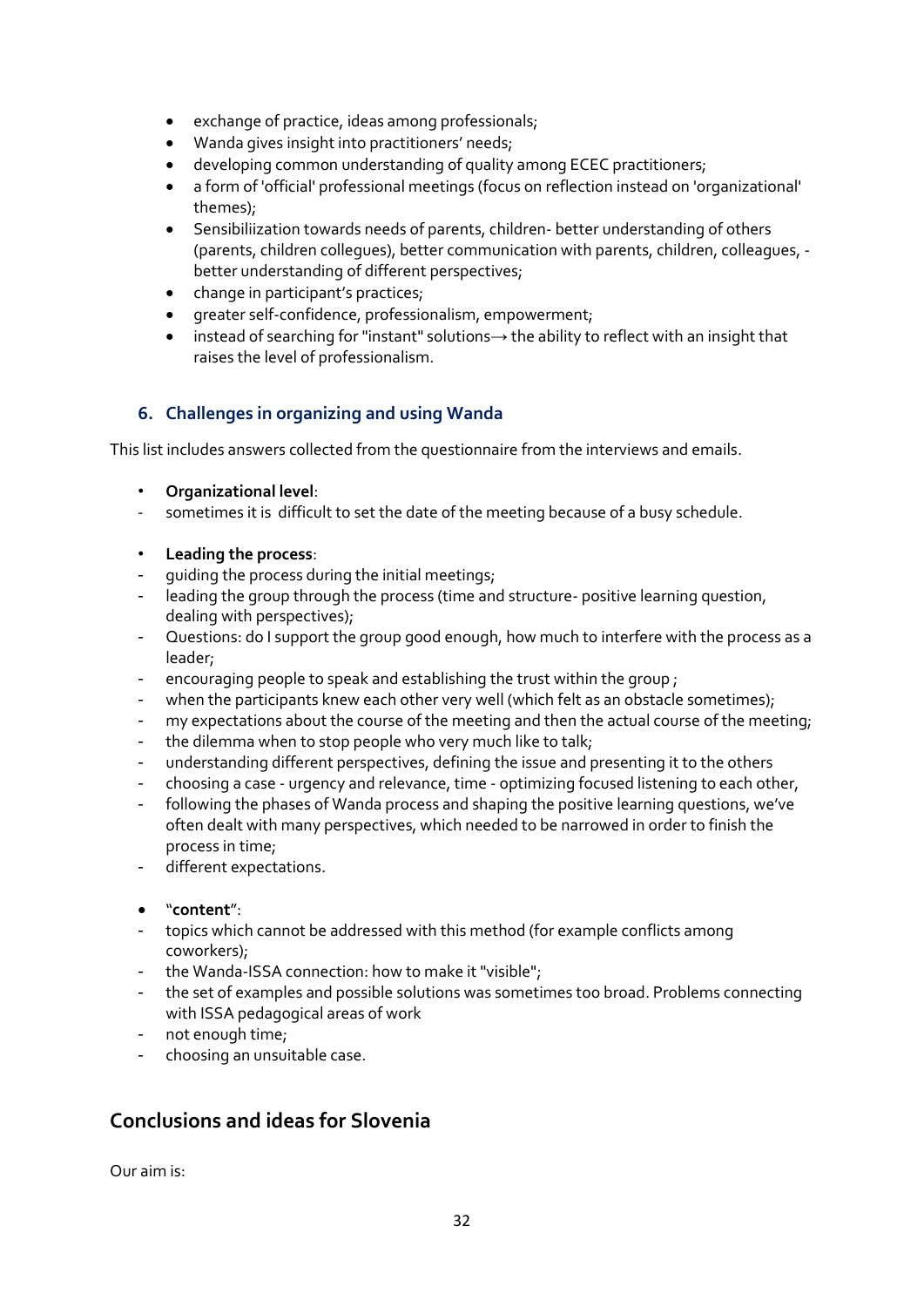- exchange of practice, ideas among professionals;
- Wanda gives insight into practitioners' needs;
- developing common understanding of quality among ECEC practitioners;
- a form of 'official' professional meetings (focus on reflection instead on 'organizational' themes);
- Sensibiliization towards needs of parents, children- better understanding of others (parents, children collegues), better communication with parents, children, colleagues, better understanding of different perspectives;
- change in participant's practices;
- greater self-confidence, professionalism, empowerment;
- instead of searching for "instant" solutions→ the ability to reflect with an insight that raises the level of professionalism.

#### **6. Challenges in organizing and using Wanda**

This list includes answers collected from the questionnaire from the interviews and emails.

- **Organizational level**:
- sometimes it is difficult to set the date of the meeting because of a busy schedule.
- **Leading the process**:
- quiding the process during the initial meetings;
- leading the group through the process (time and structure- positive learning question, dealing with perspectives);
- Questions: do I support the group good enough, how much to interfere with the process as a leader;
- encouraging people to speak and establishing the trust within the group :
- when the participants knew each other very well (which felt as an obstacle sometimes);
- my expectations about the course of the meeting and then the actual course of the meeting;
- the dilemma when to stop people who very much like to talk;
- understanding different perspectives, defining the issue and presenting it to the others
- choosing a case urgency and relevance, time optimizing focused listening to each other,
- following the phases of Wanda process and shaping the positive learning questions, we've often dealt with many perspectives, which needed to be narrowed in order to finish the process in time;
- different expectations.
- "**content**":
- topics which cannot be addressed with this method (for example conflicts among coworkers);
- the Wanda-ISSA connection: how to make it "visible";
- the set of examples and possible solutions was sometimes too broad. Problems connecting with ISSA pedagogical areas of work
- not enough time;
- choosing an unsuitable case.

## **Conclusions and ideas for Slovenia**

Our aim is: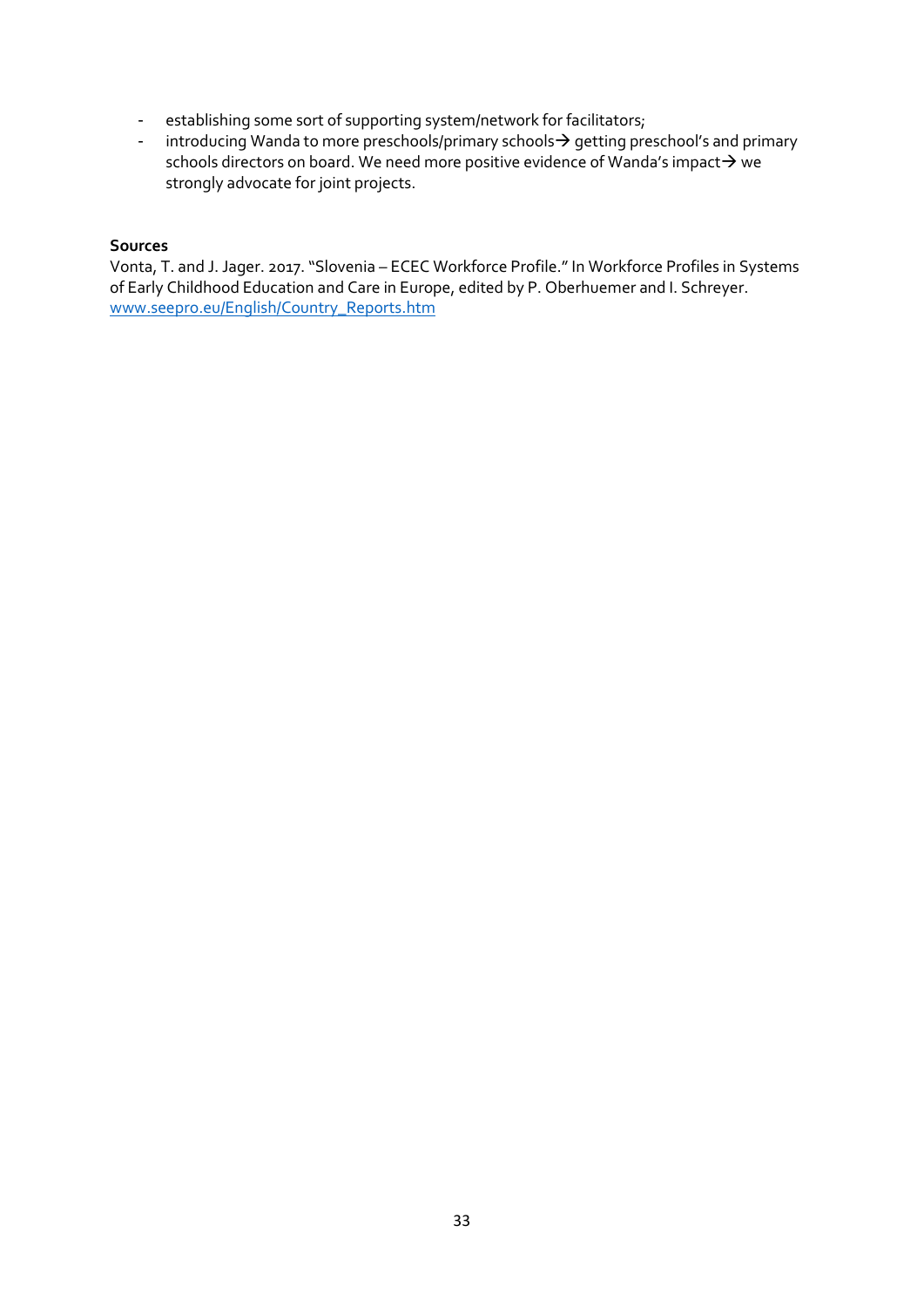- establishing some sort of supporting system/network for facilitators;
- introducing Wanda to more preschools/primary schools $\rightarrow$  getting preschool's and primary schools directors on board. We need more positive evidence of Wanda's impact $\rightarrow$  we strongly advocate for joint projects.

#### **Sources**

Vonta, T. and J. Jager. 2017. "Slovenia – ECEC Workforce Profile." In Workforce Profiles in Systems of Early Childhood Education and Care in Europe, edited by P. Oberhuemer and I. Schreyer. [www.seepro.eu/English/Country\\_Reports.htm](http://www.seepro.eu/English/Country_Reports.htm)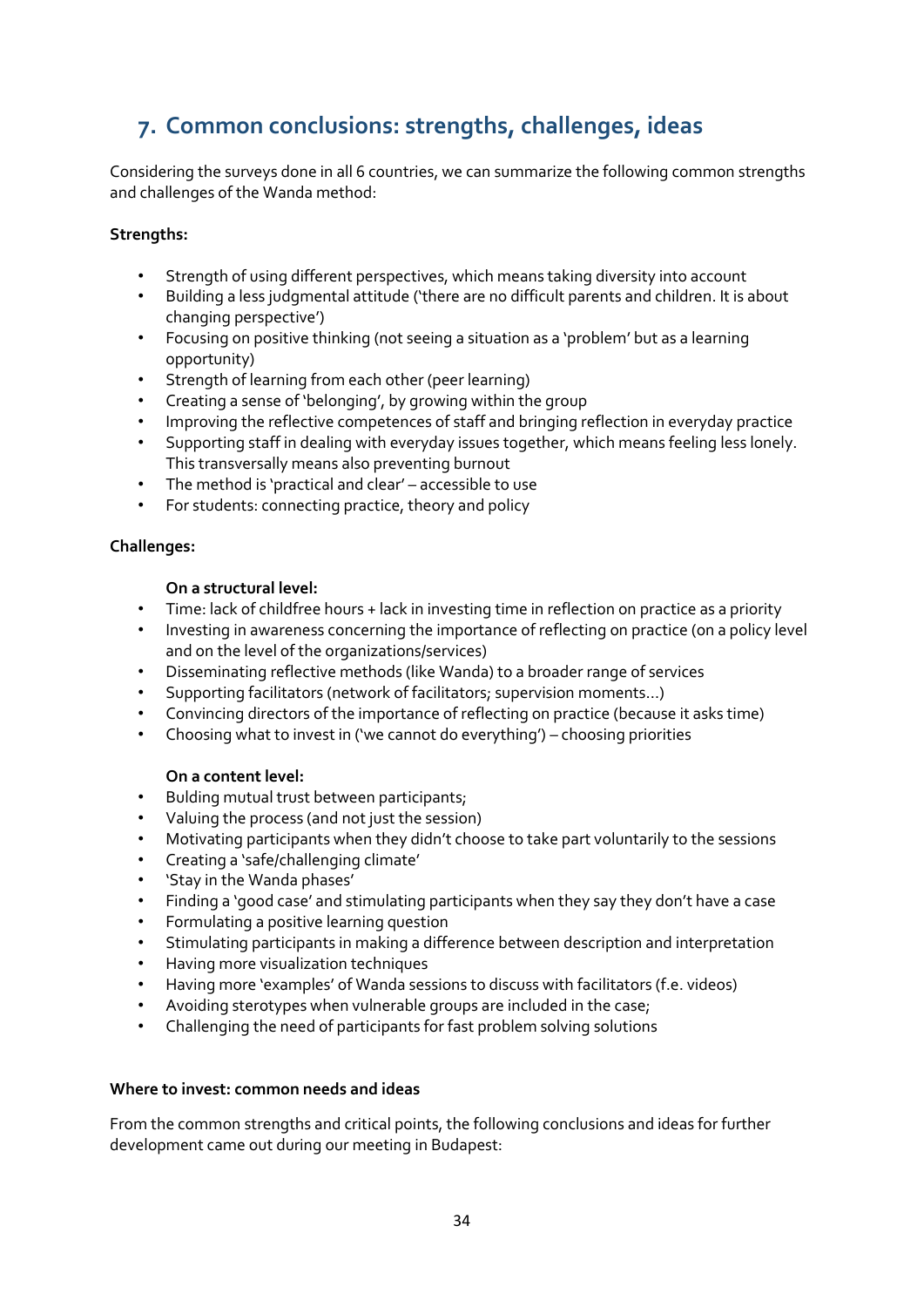## **7. Common conclusions: strengths, challenges, ideas**

Considering the surveys done in all 6 countries, we can summarize the following common strengths and challenges of the Wanda method:

#### **Strengths:**

- Strength of using different perspectives, which means taking diversity into account
- Building a less judgmental attitude ('there are no difficult parents and children. It is about changing perspective')
- Focusing on positive thinking (not seeing a situation as a 'problem' but as a learning opportunity)
- Strength of learning from each other (peer learning)
- Creating a sense of 'belonging', by growing within the group
- Improving the reflective competences of staff and bringing reflection in everyday practice
- Supporting staff in dealing with everyday issues together, which means feeling less lonely. This transversally means also preventing burnout
- The method is 'practical and clear' accessible to use
- For students: connecting practice, theory and policy

#### **Challenges:**

#### **On a structural level:**

- Time: lack of childfree hours + lack in investing time in reflection on practice as a priority
- Investing in awareness concerning the importance of reflecting on practice (on a policy level and on the level of the organizations/services)
- Disseminating reflective methods (like Wanda) to a broader range of services
- Supporting facilitators (network of facilitators; supervision moments…)
- Convincing directors of the importance of reflecting on practice (because it asks time)
- Choosing what to invest in ('we cannot do everything') choosing priorities

#### **On a content level:**

- Bulding mutual trust between participants;
- Valuing the process (and not just the session)
- Motivating participants when they didn't choose to take part voluntarily to the sessions
- Creating a 'safe/challenging climate'
- 'Stay in the Wanda phases'
- Finding a 'good case' and stimulating participants when they say they don't have a case
- Formulating a positive learning question
- Stimulating participants in making a difference between description and interpretation
- Having more visualization techniques
- Having more 'examples' of Wanda sessions to discuss with facilitators (f.e. videos)
- Avoiding sterotypes when vulnerable groups are included in the case;
- Challenging the need of participants for fast problem solving solutions

#### **Where to invest: common needs and ideas**

From the common strengths and critical points, the following conclusions and ideas for further development came out during our meeting in Budapest: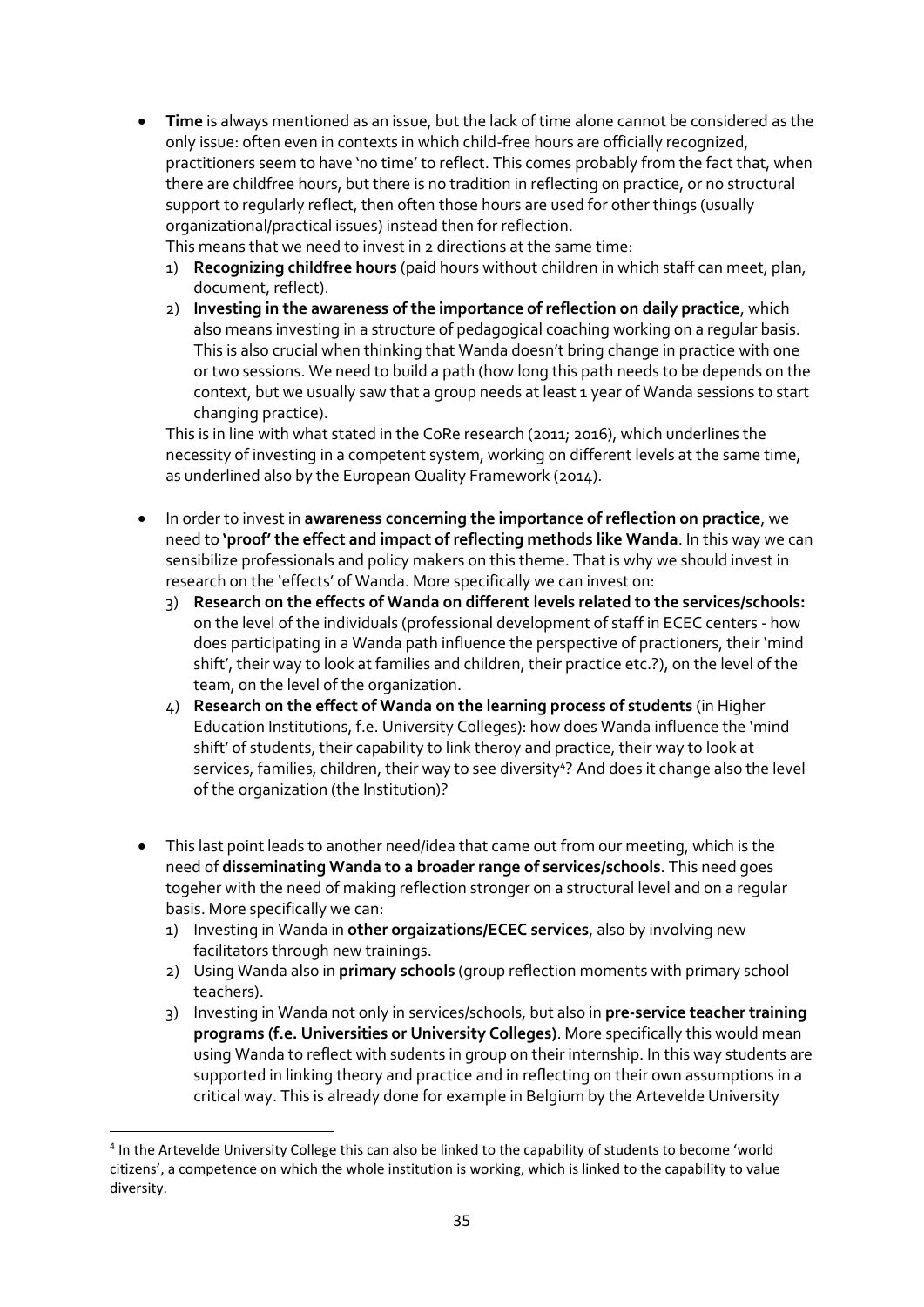**Time** is always mentioned as an issue, but the lack of time alone cannot be considered as the only issue: often even in contexts in which child-free hours are officially recognized, practitioners seem to have 'no time' to reflect. This comes probably from the fact that, when there are childfree hours, but there is no tradition in reflecting on practice, or no structural support to regularly reflect, then often those hours are used for other things (usually organizational/practical issues) instead then for reflection.

This means that we need to invest in 2 directions at the same time:

- 1) **Recognizing childfree hours** (paid hours without children in which staff can meet, plan, document, reflect).
- 2) **Investing in the awareness of the importance of reflection on daily practice**, which also means investing in a structure of pedagogical coaching working on a regular basis. This is also crucial when thinking that Wanda doesn't bring change in practice with one or two sessions. We need to build a path (how long this path needs to be depends on the context, but we usually saw that a group needs at least 1 year of Wanda sessions to start changing practice).

This is in line with what stated in the CoRe research (2011; 2016), which underlines the necessity of investing in a competent system, working on different levels at the same time, as underlined also by the European Quality Framework (2014).

- In order to invest in **awareness concerning the importance of reflection on practice**, we need to **'proof' the effect and impact of reflecting methods like Wanda**. In this way we can sensibilize professionals and policy makers on this theme. That is why we should invest in research on the 'effects' of Wanda. More specifically we can invest on:
	- 3) **Research on the effects of Wanda on different levels related to the services/schools:** on the level of the individuals (professional development of staff in ECEC centers - how does participating in a Wanda path influence the perspective of practioners, their 'mind shift', their way to look at families and children, their practice etc.?), on the level of the team, on the level of the organization.
	- 4) **Research on the effect of Wanda on the learning process of students** (in Higher Education Institutions, f.e. University Colleges): how does Wanda influence the 'mind shift' of students, their capability to link theroy and practice, their way to look at services, families, children, their way to see diversity<sup>4</sup>? And does it change also the level of the organization (the Institution)?
- This last point leads to another need/idea that came out from our meeting, which is the need of **disseminating Wanda to a broader range of services/schools**. This need goes togeher with the need of making reflection stronger on a structural level and on a regular basis. More specifically we can:
	- 1) Investing in Wanda in **other orgaizations/ECEC services**, also by involving new facilitators through new trainings.
	- 2) Using Wanda also in **primary schools** (group reflection moments with primary school teachers).
	- 3) Investing in Wanda not only in services/schools, but also in **pre-service teacher training programs (f.e. Universities or University Colleges)**. More specifically this would mean using Wanda to reflect with sudents in group on their internship. In this way students are supported in linking theory and practice and in reflecting on their own assumptions in a critical way. This is already done for example in Belgium by the Artevelde University

**.** 

<sup>&</sup>lt;sup>4</sup> In the Artevelde University College this can also be linked to the capability of students to become 'world citizens', a competence on which the whole institution is working, which is linked to the capability to value diversity.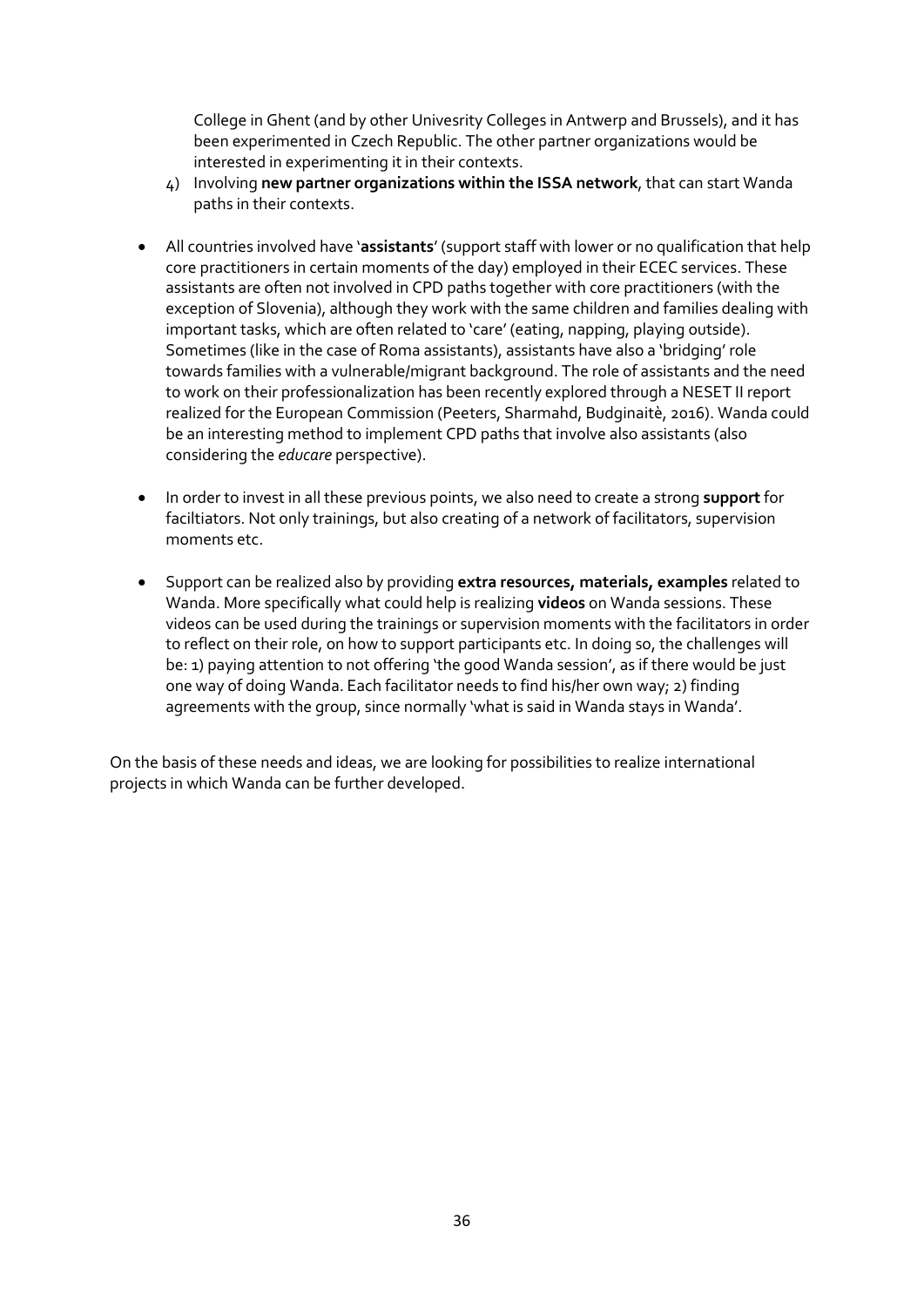College in Ghent (and by other Univesrity Colleges in Antwerp and Brussels), and it has been experimented in Czech Republic. The other partner organizations would be interested in experimenting it in their contexts.

- 4) Involving **new partner organizations within the ISSA network**, that can start Wanda paths in their contexts.
- All countries involved have '**assistants**' (support staff with lower or no qualification that help core practitioners in certain moments of the day) employed in their ECEC services. These assistants are often not involved in CPD paths together with core practitioners (with the exception of Slovenia), although they work with the same children and families dealing with important tasks, which are often related to 'care' (eating, napping, playing outside). Sometimes (like in the case of Roma assistants), assistants have also a 'bridging' role towards families with a vulnerable/migrant background. The role of assistants and the need to work on their professionalization has been recently explored through a NESET II report realized for the European Commission (Peeters, Sharmahd, Budginaitè, 2016). Wanda could be an interesting method to implement CPD paths that involve also assistants (also considering the *educare* perspective).
- In order to invest in all these previous points, we also need to create a strong **support** for faciltiators. Not only trainings, but also creating of a network of facilitators, supervision moments etc.
- Support can be realized also by providing **extra resources, materials, examples** related to Wanda. More specifically what could help is realizing **videos** on Wanda sessions. These videos can be used during the trainings or supervision moments with the facilitators in order to reflect on their role, on how to support participants etc. In doing so, the challenges will be: 1) paying attention to not offering 'the good Wanda session', as if there would be just one way of doing Wanda. Each facilitator needs to find his/her own way; 2) finding agreements with the group, since normally 'what is said in Wanda stays in Wanda'.

On the basis of these needs and ideas, we are looking for possibilities to realize international projects in which Wanda can be further developed.